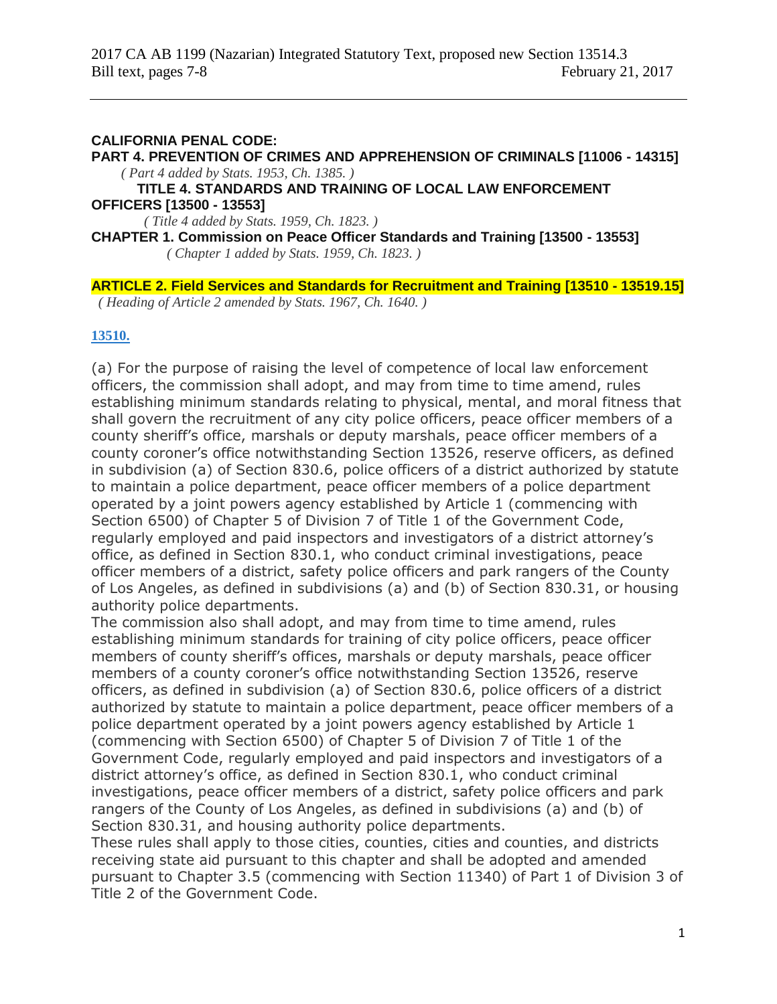#### **CALIFORNIA PENAL CODE:**

**PART 4. PREVENTION OF CRIMES AND APPREHENSION OF CRIMINALS [11006 - 14315]** *( Part 4 added by Stats. 1953, Ch. 1385. )*

**TITLE 4. STANDARDS AND TRAINING OF LOCAL LAW ENFORCEMENT OFFICERS [13500 - 13553]**

*( Title 4 added by Stats. 1959, Ch. 1823. )*

**CHAPTER 1. Commission on Peace Officer Standards and Training [13500 - 13553]** *( Chapter 1 added by Stats. 1959, Ch. 1823. )*

**ARTICLE 2. Field Services and Standards for Recruitment and Training [13510 - 13519.15]** *( Heading of Article 2 amended by Stats. 1967, Ch. 1640. )*

#### **[13510.](javascript:submitCodesValues()**

(a) For the purpose of raising the level of competence of local law enforcement officers, the commission shall adopt, and may from time to time amend, rules establishing minimum standards relating to physical, mental, and moral fitness that shall govern the recruitment of any city police officers, peace officer members of a county sheriff's office, marshals or deputy marshals, peace officer members of a county coroner's office notwithstanding Section 13526, reserve officers, as defined in subdivision (a) of Section 830.6, police officers of a district authorized by statute to maintain a police department, peace officer members of a police department operated by a joint powers agency established by Article 1 (commencing with Section 6500) of Chapter 5 of Division 7 of Title 1 of the Government Code, regularly employed and paid inspectors and investigators of a district attorney's office, as defined in Section 830.1, who conduct criminal investigations, peace officer members of a district, safety police officers and park rangers of the County of Los Angeles, as defined in subdivisions (a) and (b) of Section 830.31, or housing authority police departments.

The commission also shall adopt, and may from time to time amend, rules establishing minimum standards for training of city police officers, peace officer members of county sheriff's offices, marshals or deputy marshals, peace officer members of a county coroner's office notwithstanding Section 13526, reserve officers, as defined in subdivision (a) of Section 830.6, police officers of a district authorized by statute to maintain a police department, peace officer members of a police department operated by a joint powers agency established by Article 1 (commencing with Section 6500) of Chapter 5 of Division 7 of Title 1 of the Government Code, regularly employed and paid inspectors and investigators of a district attorney's office, as defined in Section 830.1, who conduct criminal investigations, peace officer members of a district, safety police officers and park rangers of the County of Los Angeles, as defined in subdivisions (a) and (b) of Section 830.31, and housing authority police departments.

These rules shall apply to those cities, counties, cities and counties, and districts receiving state aid pursuant to this chapter and shall be adopted and amended pursuant to Chapter 3.5 (commencing with Section 11340) of Part 1 of Division 3 of Title 2 of the Government Code.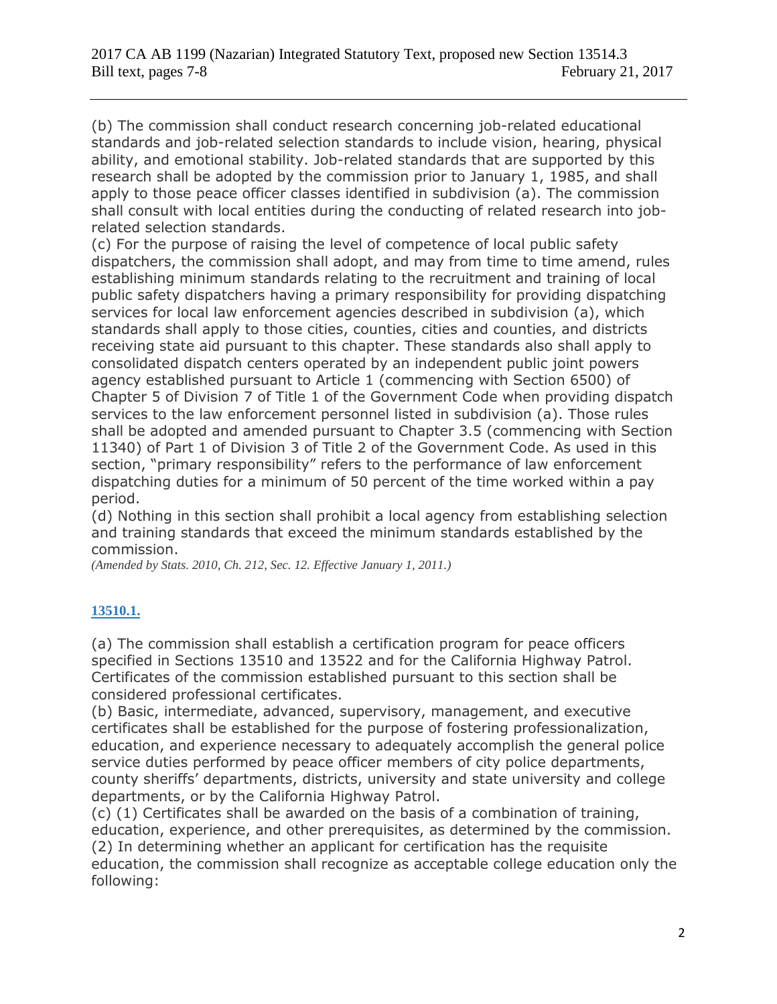(b) The commission shall conduct research concerning job-related educational standards and job-related selection standards to include vision, hearing, physical ability, and emotional stability. Job-related standards that are supported by this research shall be adopted by the commission prior to January 1, 1985, and shall apply to those peace officer classes identified in subdivision (a). The commission shall consult with local entities during the conducting of related research into jobrelated selection standards.

(c) For the purpose of raising the level of competence of local public safety dispatchers, the commission shall adopt, and may from time to time amend, rules establishing minimum standards relating to the recruitment and training of local public safety dispatchers having a primary responsibility for providing dispatching services for local law enforcement agencies described in subdivision (a), which standards shall apply to those cities, counties, cities and counties, and districts receiving state aid pursuant to this chapter. These standards also shall apply to consolidated dispatch centers operated by an independent public joint powers agency established pursuant to Article 1 (commencing with Section 6500) of Chapter 5 of Division 7 of Title 1 of the Government Code when providing dispatch services to the law enforcement personnel listed in subdivision (a). Those rules shall be adopted and amended pursuant to Chapter 3.5 (commencing with Section 11340) of Part 1 of Division 3 of Title 2 of the Government Code. As used in this section, "primary responsibility" refers to the performance of law enforcement dispatching duties for a minimum of 50 percent of the time worked within a pay period.

(d) Nothing in this section shall prohibit a local agency from establishing selection and training standards that exceed the minimum standards established by the commission.

*(Amended by Stats. 2010, Ch. 212, Sec. 12. Effective January 1, 2011.)*

## **[13510.1.](javascript:submitCodesValues()**

(a) The commission shall establish a certification program for peace officers specified in Sections 13510 and 13522 and for the California Highway Patrol. Certificates of the commission established pursuant to this section shall be considered professional certificates.

(b) Basic, intermediate, advanced, supervisory, management, and executive certificates shall be established for the purpose of fostering professionalization, education, and experience necessary to adequately accomplish the general police service duties performed by peace officer members of city police departments, county sheriffs' departments, districts, university and state university and college departments, or by the California Highway Patrol.

(c) (1) Certificates shall be awarded on the basis of a combination of training, education, experience, and other prerequisites, as determined by the commission. (2) In determining whether an applicant for certification has the requisite education, the commission shall recognize as acceptable college education only the following: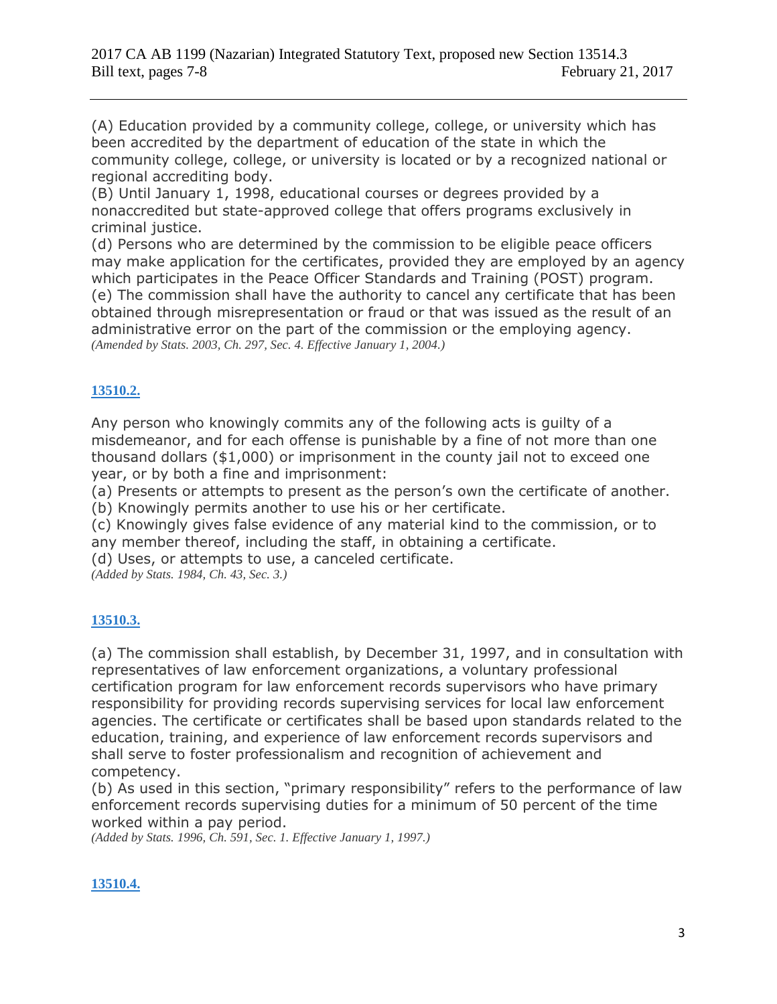(A) Education provided by a community college, college, or university which has been accredited by the department of education of the state in which the community college, college, or university is located or by a recognized national or regional accrediting body.

(B) Until January 1, 1998, educational courses or degrees provided by a nonaccredited but state-approved college that offers programs exclusively in criminal justice.

(d) Persons who are determined by the commission to be eligible peace officers may make application for the certificates, provided they are employed by an agency which participates in the Peace Officer Standards and Training (POST) program. (e) The commission shall have the authority to cancel any certificate that has been obtained through misrepresentation or fraud or that was issued as the result of an administrative error on the part of the commission or the employing agency. *(Amended by Stats. 2003, Ch. 297, Sec. 4. Effective January 1, 2004.)*

## **[13510.2.](javascript:submitCodesValues()**

Any person who knowingly commits any of the following acts is guilty of a misdemeanor, and for each offense is punishable by a fine of not more than one thousand dollars (\$1,000) or imprisonment in the county jail not to exceed one year, or by both a fine and imprisonment:

(a) Presents or attempts to present as the person's own the certificate of another.

(b) Knowingly permits another to use his or her certificate.

(c) Knowingly gives false evidence of any material kind to the commission, or to any member thereof, including the staff, in obtaining a certificate.

(d) Uses, or attempts to use, a canceled certificate.

*(Added by Stats. 1984, Ch. 43, Sec. 3.)*

## **[13510.3.](javascript:submitCodesValues()**

(a) The commission shall establish, by December 31, 1997, and in consultation with representatives of law enforcement organizations, a voluntary professional certification program for law enforcement records supervisors who have primary responsibility for providing records supervising services for local law enforcement agencies. The certificate or certificates shall be based upon standards related to the education, training, and experience of law enforcement records supervisors and shall serve to foster professionalism and recognition of achievement and competency.

(b) As used in this section, "primary responsibility" refers to the performance of law enforcement records supervising duties for a minimum of 50 percent of the time worked within a pay period.

*(Added by Stats. 1996, Ch. 591, Sec. 1. Effective January 1, 1997.)*

## **[13510.4.](javascript:submitCodesValues()**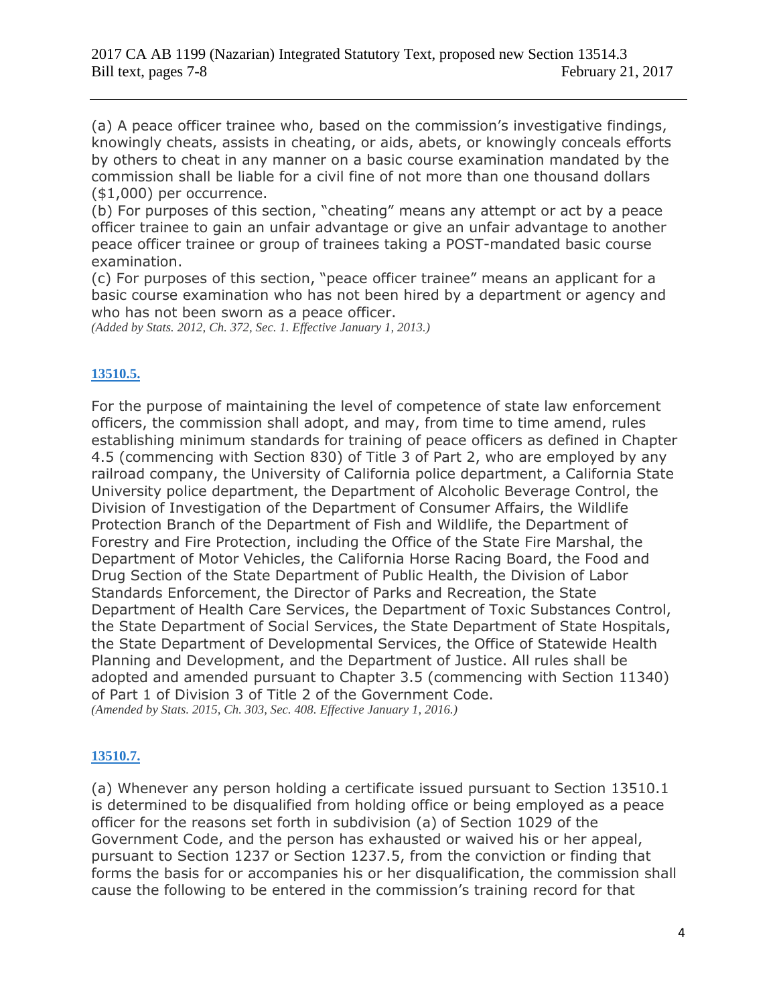(a) A peace officer trainee who, based on the commission's investigative findings, knowingly cheats, assists in cheating, or aids, abets, or knowingly conceals efforts by others to cheat in any manner on a basic course examination mandated by the commission shall be liable for a civil fine of not more than one thousand dollars (\$1,000) per occurrence.

(b) For purposes of this section, "cheating" means any attempt or act by a peace officer trainee to gain an unfair advantage or give an unfair advantage to another peace officer trainee or group of trainees taking a POST-mandated basic course examination.

(c) For purposes of this section, "peace officer trainee" means an applicant for a basic course examination who has not been hired by a department or agency and who has not been sworn as a peace officer.

*(Added by Stats. 2012, Ch. 372, Sec. 1. Effective January 1, 2013.)*

### **[13510.5.](javascript:submitCodesValues()**

For the purpose of maintaining the level of competence of state law enforcement officers, the commission shall adopt, and may, from time to time amend, rules establishing minimum standards for training of peace officers as defined in Chapter 4.5 (commencing with Section 830) of Title 3 of Part 2, who are employed by any railroad company, the University of California police department, a California State University police department, the Department of Alcoholic Beverage Control, the Division of Investigation of the Department of Consumer Affairs, the Wildlife Protection Branch of the Department of Fish and Wildlife, the Department of Forestry and Fire Protection, including the Office of the State Fire Marshal, the Department of Motor Vehicles, the California Horse Racing Board, the Food and Drug Section of the State Department of Public Health, the Division of Labor Standards Enforcement, the Director of Parks and Recreation, the State Department of Health Care Services, the Department of Toxic Substances Control, the State Department of Social Services, the State Department of State Hospitals, the State Department of Developmental Services, the Office of Statewide Health Planning and Development, and the Department of Justice. All rules shall be adopted and amended pursuant to Chapter 3.5 (commencing with Section 11340) of Part 1 of Division 3 of Title 2 of the Government Code. *(Amended by Stats. 2015, Ch. 303, Sec. 408. Effective January 1, 2016.)*

### **[13510.7.](javascript:submitCodesValues()**

(a) Whenever any person holding a certificate issued pursuant to Section 13510.1 is determined to be disqualified from holding office or being employed as a peace officer for the reasons set forth in subdivision (a) of Section 1029 of the Government Code, and the person has exhausted or waived his or her appeal, pursuant to Section 1237 or Section 1237.5, from the conviction or finding that forms the basis for or accompanies his or her disqualification, the commission shall cause the following to be entered in the commission's training record for that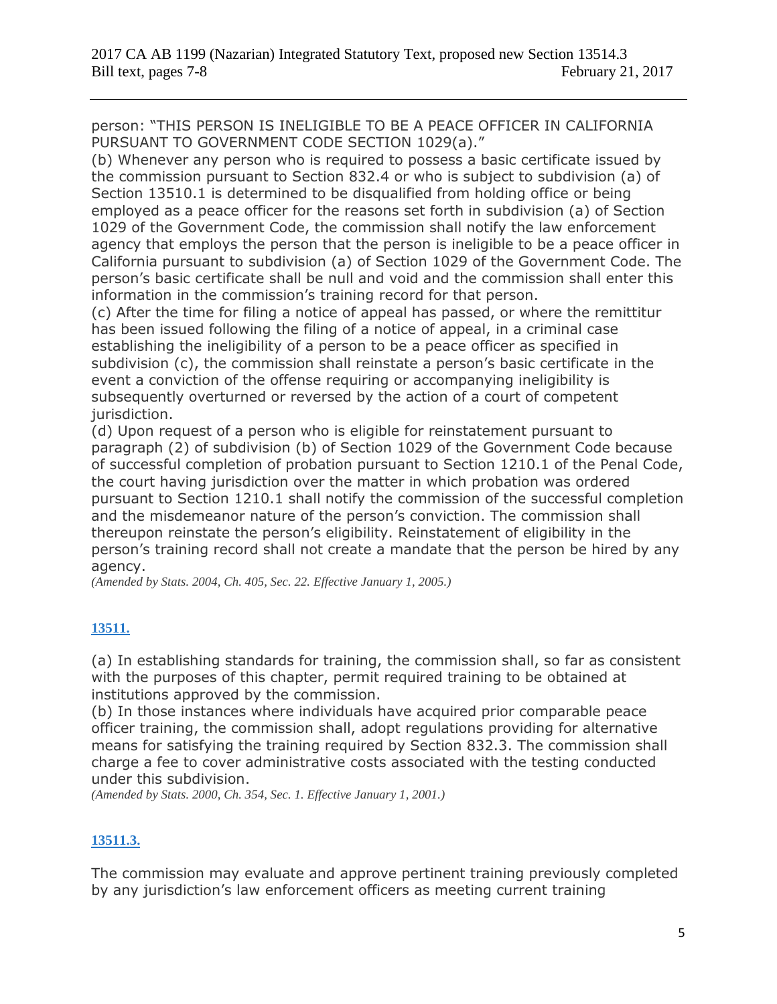person: "THIS PERSON IS INELIGIBLE TO BE A PEACE OFFICER IN CALIFORNIA PURSUANT TO GOVERNMENT CODE SECTION 1029(a)."

(b) Whenever any person who is required to possess a basic certificate issued by the commission pursuant to Section 832.4 or who is subject to subdivision (a) of Section 13510.1 is determined to be disqualified from holding office or being employed as a peace officer for the reasons set forth in subdivision (a) of Section 1029 of the Government Code, the commission shall notify the law enforcement agency that employs the person that the person is ineligible to be a peace officer in California pursuant to subdivision (a) of Section 1029 of the Government Code. The person's basic certificate shall be null and void and the commission shall enter this information in the commission's training record for that person.

(c) After the time for filing a notice of appeal has passed, or where the remittitur has been issued following the filing of a notice of appeal, in a criminal case establishing the ineligibility of a person to be a peace officer as specified in subdivision (c), the commission shall reinstate a person's basic certificate in the event a conviction of the offense requiring or accompanying ineligibility is subsequently overturned or reversed by the action of a court of competent jurisdiction.

(d) Upon request of a person who is eligible for reinstatement pursuant to paragraph (2) of subdivision (b) of Section 1029 of the Government Code because of successful completion of probation pursuant to Section 1210.1 of the Penal Code, the court having jurisdiction over the matter in which probation was ordered pursuant to Section 1210.1 shall notify the commission of the successful completion and the misdemeanor nature of the person's conviction. The commission shall thereupon reinstate the person's eligibility. Reinstatement of eligibility in the person's training record shall not create a mandate that the person be hired by any agency.

*(Amended by Stats. 2004, Ch. 405, Sec. 22. Effective January 1, 2005.)*

## **[13511.](javascript:submitCodesValues()**

(a) In establishing standards for training, the commission shall, so far as consistent with the purposes of this chapter, permit required training to be obtained at institutions approved by the commission.

(b) In those instances where individuals have acquired prior comparable peace officer training, the commission shall, adopt regulations providing for alternative means for satisfying the training required by Section 832.3. The commission shall charge a fee to cover administrative costs associated with the testing conducted under this subdivision.

*(Amended by Stats. 2000, Ch. 354, Sec. 1. Effective January 1, 2001.)*

## **[13511.3.](javascript:submitCodesValues()**

The commission may evaluate and approve pertinent training previously completed by any jurisdiction's law enforcement officers as meeting current training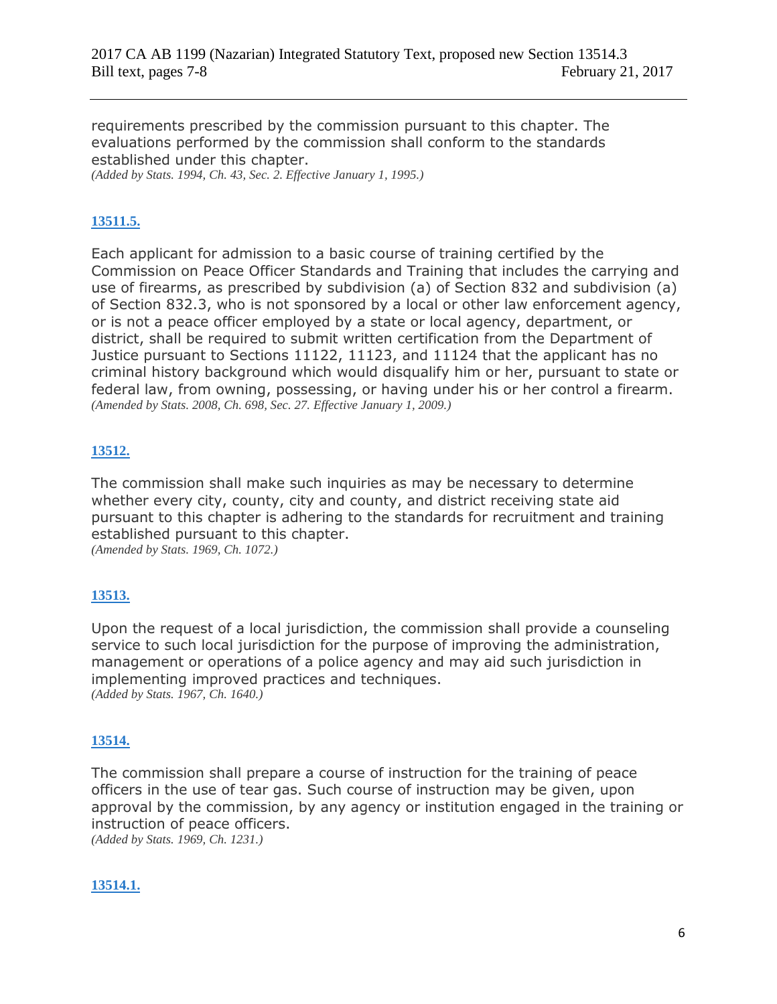requirements prescribed by the commission pursuant to this chapter. The evaluations performed by the commission shall conform to the standards established under this chapter.

*(Added by Stats. 1994, Ch. 43, Sec. 2. Effective January 1, 1995.)*

## **[13511.5.](javascript:submitCodesValues()**

Each applicant for admission to a basic course of training certified by the Commission on Peace Officer Standards and Training that includes the carrying and use of firearms, as prescribed by subdivision (a) of Section 832 and subdivision (a) of Section 832.3, who is not sponsored by a local or other law enforcement agency, or is not a peace officer employed by a state or local agency, department, or district, shall be required to submit written certification from the Department of Justice pursuant to Sections 11122, 11123, and 11124 that the applicant has no criminal history background which would disqualify him or her, pursuant to state or federal law, from owning, possessing, or having under his or her control a firearm. *(Amended by Stats. 2008, Ch. 698, Sec. 27. Effective January 1, 2009.)*

### **[13512.](javascript:submitCodesValues()**

The commission shall make such inquiries as may be necessary to determine whether every city, county, city and county, and district receiving state aid pursuant to this chapter is adhering to the standards for recruitment and training established pursuant to this chapter.

*(Amended by Stats. 1969, Ch. 1072.)*

### **[13513.](javascript:submitCodesValues()**

Upon the request of a local jurisdiction, the commission shall provide a counseling service to such local jurisdiction for the purpose of improving the administration, management or operations of a police agency and may aid such jurisdiction in implementing improved practices and techniques. *(Added by Stats. 1967, Ch. 1640.)*

### **[13514.](javascript:submitCodesValues()**

The commission shall prepare a course of instruction for the training of peace officers in the use of tear gas. Such course of instruction may be given, upon approval by the commission, by any agency or institution engaged in the training or instruction of peace officers.

*(Added by Stats. 1969, Ch. 1231.)*

### **[13514.1.](javascript:submitCodesValues()**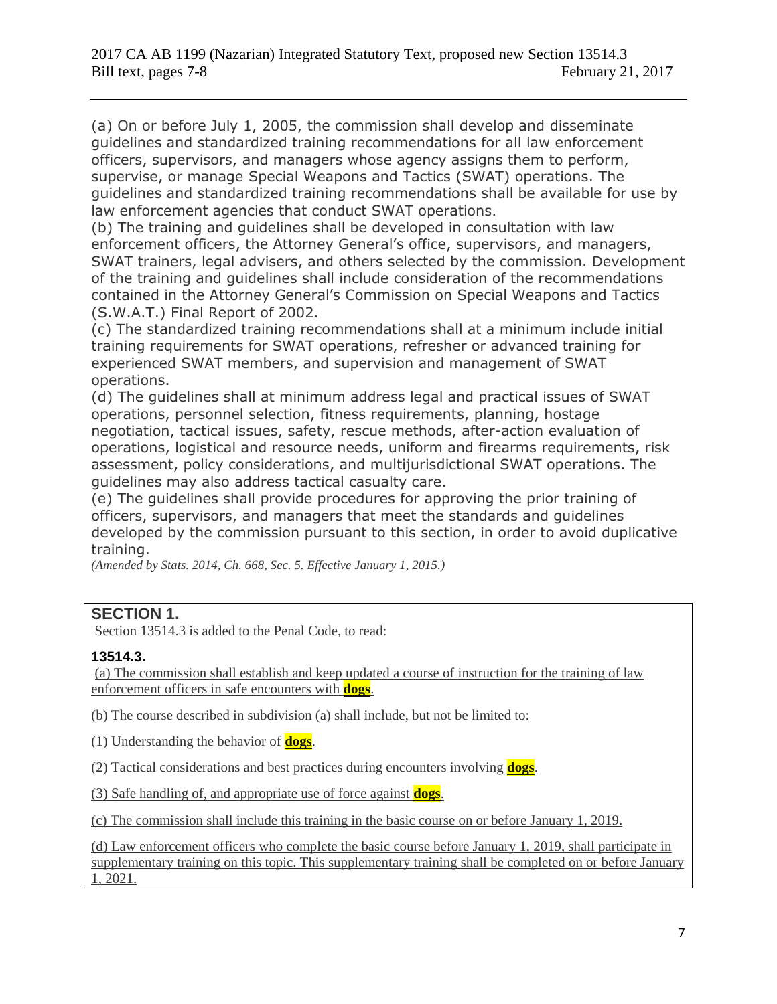(a) On or before July 1, 2005, the commission shall develop and disseminate guidelines and standardized training recommendations for all law enforcement officers, supervisors, and managers whose agency assigns them to perform, supervise, or manage Special Weapons and Tactics (SWAT) operations. The guidelines and standardized training recommendations shall be available for use by law enforcement agencies that conduct SWAT operations.

(b) The training and guidelines shall be developed in consultation with law enforcement officers, the Attorney General's office, supervisors, and managers, SWAT trainers, legal advisers, and others selected by the commission. Development of the training and guidelines shall include consideration of the recommendations contained in the Attorney General's Commission on Special Weapons and Tactics (S.W.A.T.) Final Report of 2002.

(c) The standardized training recommendations shall at a minimum include initial training requirements for SWAT operations, refresher or advanced training for experienced SWAT members, and supervision and management of SWAT operations.

(d) The guidelines shall at minimum address legal and practical issues of SWAT operations, personnel selection, fitness requirements, planning, hostage negotiation, tactical issues, safety, rescue methods, after-action evaluation of operations, logistical and resource needs, uniform and firearms requirements, risk assessment, policy considerations, and multijurisdictional SWAT operations. The guidelines may also address tactical casualty care.

(e) The guidelines shall provide procedures for approving the prior training of officers, supervisors, and managers that meet the standards and guidelines developed by the commission pursuant to this section, in order to avoid duplicative training.

*(Amended by Stats. 2014, Ch. 668, Sec. 5. Effective January 1, 2015.)*

## **SECTION 1.**

Section 13514.3 is added to the Penal Code, to read:

## **13514.3.**

(a) The commission shall establish and keep updated a course of instruction for the training of law enforcement officers in safe encounters with **dogs**.

(b) The course described in subdivision (a) shall include, but not be limited to:

(1) Understanding the behavior of **dogs**.

(2) Tactical considerations and best practices during encounters involving **dogs**.

(3) Safe handling of, and appropriate use of force against **dogs**.

(c) The commission shall include this training in the basic course on or before January 1, 2019.

(d) Law enforcement officers who complete the basic course before January 1, 2019, shall participate in supplementary training on this topic. This supplementary training shall be completed on or before January 1, 2021.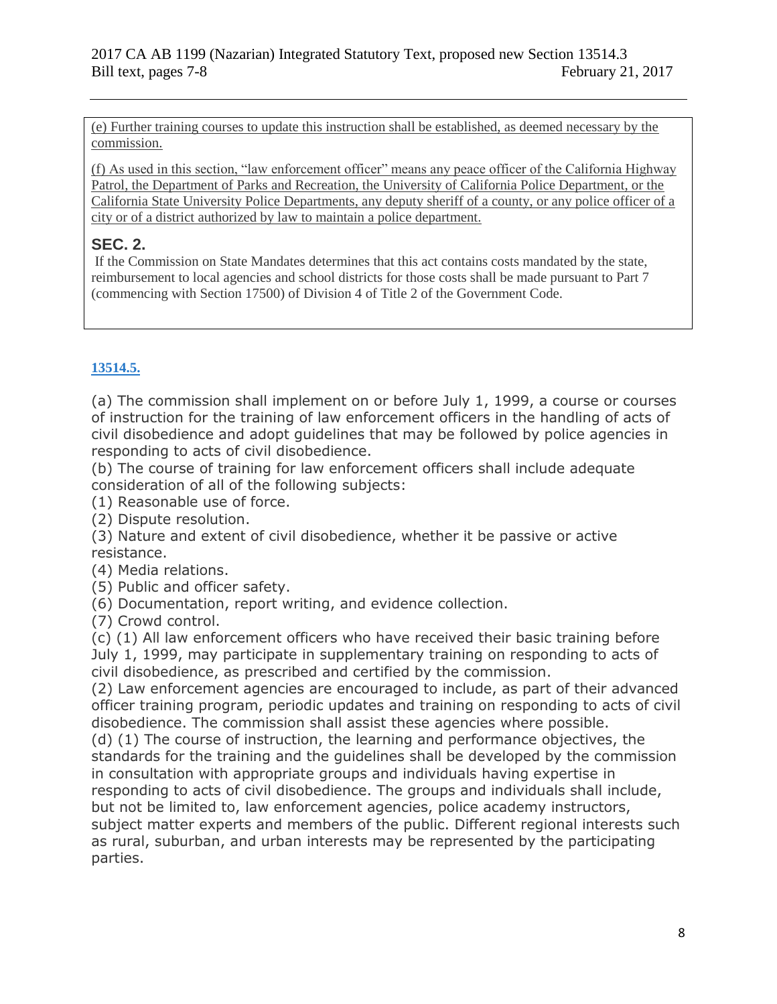(e) Further training courses to update this instruction shall be established, as deemed necessary by the commission.

(f) As used in this section, "law enforcement officer" means any peace officer of the California Highway Patrol, the Department of Parks and Recreation, the University of California Police Department, or the California State University Police Departments, any deputy sheriff of a county, or any police officer of a city or of a district authorized by law to maintain a police department.

## **SEC. 2.**

If the Commission on State Mandates determines that this act contains costs mandated by the state, reimbursement to local agencies and school districts for those costs shall be made pursuant to Part 7 (commencing with Section 17500) of Division 4 of Title 2 of the Government Code.

# **[13514.5.](javascript:submitCodesValues()**

(a) The commission shall implement on or before July 1, 1999, a course or courses of instruction for the training of law enforcement officers in the handling of acts of civil disobedience and adopt guidelines that may be followed by police agencies in responding to acts of civil disobedience.

(b) The course of training for law enforcement officers shall include adequate consideration of all of the following subjects:

(1) Reasonable use of force.

(2) Dispute resolution.

(3) Nature and extent of civil disobedience, whether it be passive or active resistance.

(4) Media relations.

(5) Public and officer safety.

(6) Documentation, report writing, and evidence collection.

(7) Crowd control.

(c) (1) All law enforcement officers who have received their basic training before July 1, 1999, may participate in supplementary training on responding to acts of civil disobedience, as prescribed and certified by the commission.

(2) Law enforcement agencies are encouraged to include, as part of their advanced officer training program, periodic updates and training on responding to acts of civil disobedience. The commission shall assist these agencies where possible.

(d) (1) The course of instruction, the learning and performance objectives, the standards for the training and the guidelines shall be developed by the commission in consultation with appropriate groups and individuals having expertise in responding to acts of civil disobedience. The groups and individuals shall include, but not be limited to, law enforcement agencies, police academy instructors, subject matter experts and members of the public. Different regional interests such as rural, suburban, and urban interests may be represented by the participating parties.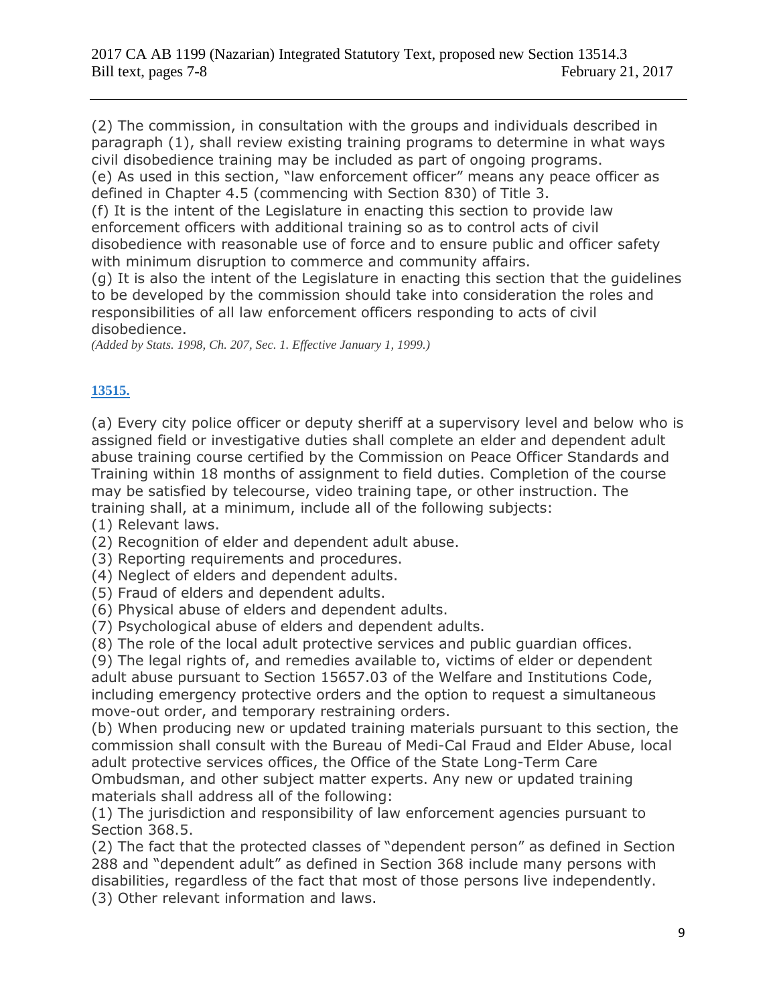(2) The commission, in consultation with the groups and individuals described in paragraph (1), shall review existing training programs to determine in what ways civil disobedience training may be included as part of ongoing programs. (e) As used in this section, "law enforcement officer" means any peace officer as

defined in Chapter 4.5 (commencing with Section 830) of Title 3.

(f) It is the intent of the Legislature in enacting this section to provide law enforcement officers with additional training so as to control acts of civil disobedience with reasonable use of force and to ensure public and officer safety with minimum disruption to commerce and community affairs.

(g) It is also the intent of the Legislature in enacting this section that the guidelines to be developed by the commission should take into consideration the roles and responsibilities of all law enforcement officers responding to acts of civil disobedience.

*(Added by Stats. 1998, Ch. 207, Sec. 1. Effective January 1, 1999.)*

## **[13515.](javascript:submitCodesValues()**

(a) Every city police officer or deputy sheriff at a supervisory level and below who is assigned field or investigative duties shall complete an elder and dependent adult abuse training course certified by the Commission on Peace Officer Standards and Training within 18 months of assignment to field duties. Completion of the course may be satisfied by telecourse, video training tape, or other instruction. The training shall, at a minimum, include all of the following subjects:

(1) Relevant laws.

(2) Recognition of elder and dependent adult abuse.

(3) Reporting requirements and procedures.

(4) Neglect of elders and dependent adults.

(5) Fraud of elders and dependent adults.

(6) Physical abuse of elders and dependent adults.

(7) Psychological abuse of elders and dependent adults.

(8) The role of the local adult protective services and public guardian offices.

(9) The legal rights of, and remedies available to, victims of elder or dependent adult abuse pursuant to Section 15657.03 of the Welfare and Institutions Code, including emergency protective orders and the option to request a simultaneous move-out order, and temporary restraining orders.

(b) When producing new or updated training materials pursuant to this section, the commission shall consult with the Bureau of Medi-Cal Fraud and Elder Abuse, local adult protective services offices, the Office of the State Long-Term Care Ombudsman, and other subject matter experts. Any new or updated training materials shall address all of the following:

(1) The jurisdiction and responsibility of law enforcement agencies pursuant to Section 368.5.

(2) The fact that the protected classes of "dependent person" as defined in Section 288 and "dependent adult" as defined in Section 368 include many persons with disabilities, regardless of the fact that most of those persons live independently. (3) Other relevant information and laws.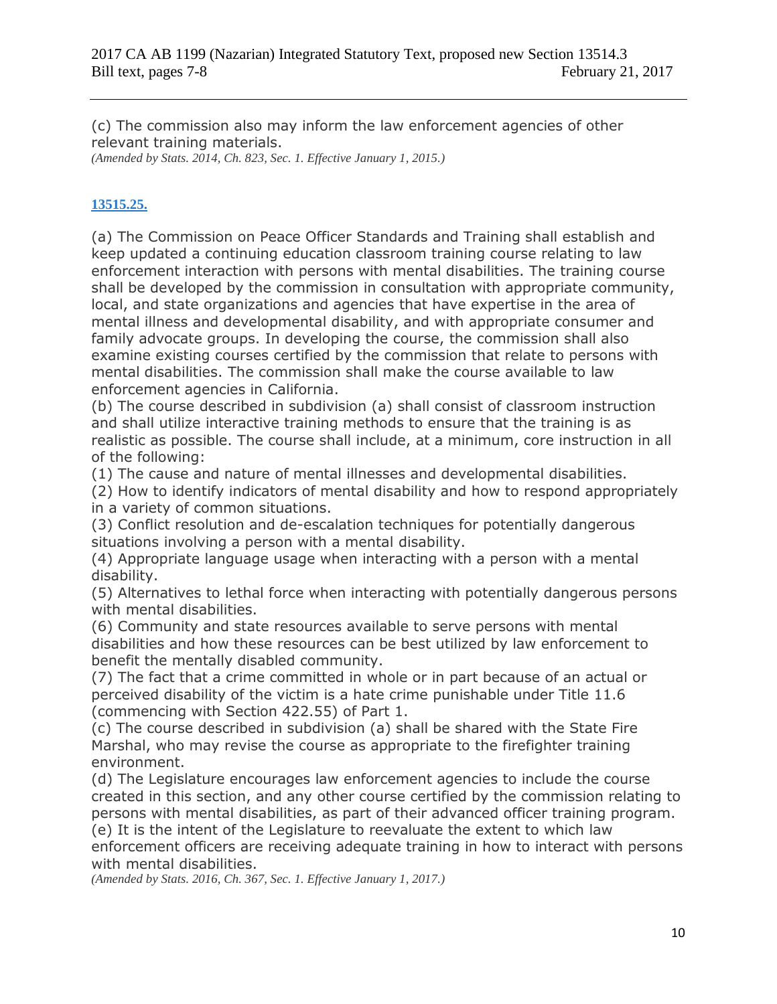(c) The commission also may inform the law enforcement agencies of other relevant training materials.

*(Amended by Stats. 2014, Ch. 823, Sec. 1. Effective January 1, 2015.)*

## **[13515.25.](javascript:submitCodesValues()**

(a) The Commission on Peace Officer Standards and Training shall establish and keep updated a continuing education classroom training course relating to law enforcement interaction with persons with mental disabilities. The training course shall be developed by the commission in consultation with appropriate community, local, and state organizations and agencies that have expertise in the area of mental illness and developmental disability, and with appropriate consumer and family advocate groups. In developing the course, the commission shall also examine existing courses certified by the commission that relate to persons with mental disabilities. The commission shall make the course available to law enforcement agencies in California.

(b) The course described in subdivision (a) shall consist of classroom instruction and shall utilize interactive training methods to ensure that the training is as realistic as possible. The course shall include, at a minimum, core instruction in all of the following:

(1) The cause and nature of mental illnesses and developmental disabilities.

(2) How to identify indicators of mental disability and how to respond appropriately in a variety of common situations.

(3) Conflict resolution and de-escalation techniques for potentially dangerous situations involving a person with a mental disability.

(4) Appropriate language usage when interacting with a person with a mental disability.

(5) Alternatives to lethal force when interacting with potentially dangerous persons with mental disabilities.

(6) Community and state resources available to serve persons with mental disabilities and how these resources can be best utilized by law enforcement to benefit the mentally disabled community.

(7) The fact that a crime committed in whole or in part because of an actual or perceived disability of the victim is a hate crime punishable under Title 11.6 (commencing with Section 422.55) of Part 1.

(c) The course described in subdivision (a) shall be shared with the State Fire Marshal, who may revise the course as appropriate to the firefighter training environment.

(d) The Legislature encourages law enforcement agencies to include the course created in this section, and any other course certified by the commission relating to persons with mental disabilities, as part of their advanced officer training program. (e) It is the intent of the Legislature to reevaluate the extent to which law

enforcement officers are receiving adequate training in how to interact with persons with mental disabilities.

*(Amended by Stats. 2016, Ch. 367, Sec. 1. Effective January 1, 2017.)*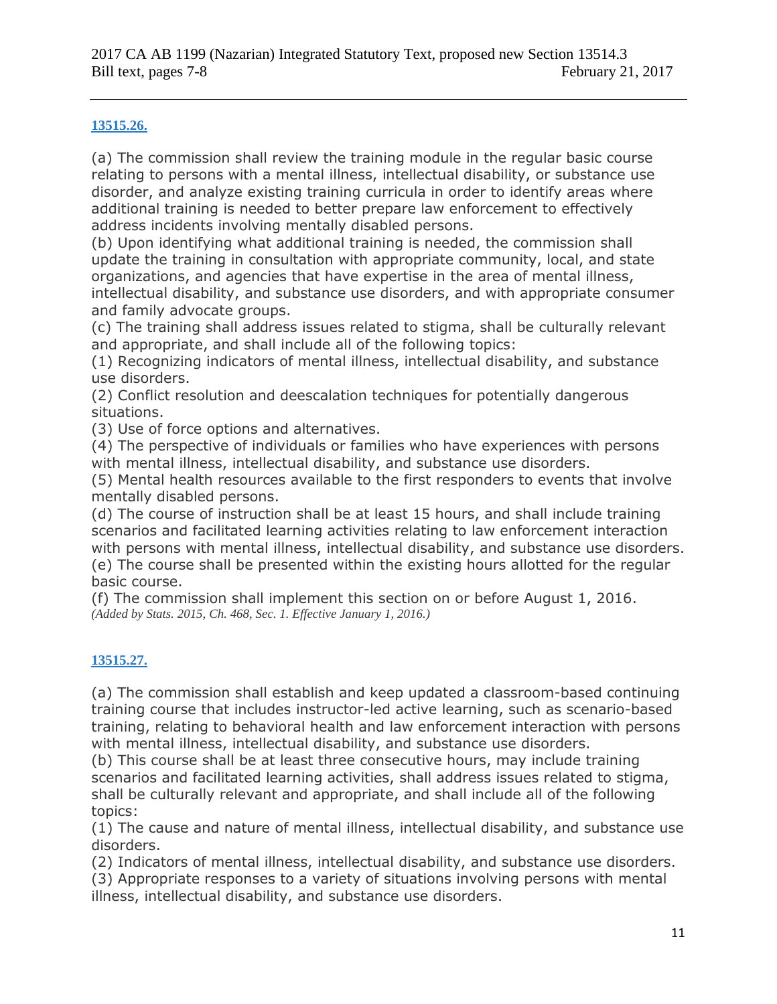### **[13515.26.](javascript:submitCodesValues()**

(a) The commission shall review the training module in the regular basic course relating to persons with a mental illness, intellectual disability, or substance use disorder, and analyze existing training curricula in order to identify areas where additional training is needed to better prepare law enforcement to effectively address incidents involving mentally disabled persons.

(b) Upon identifying what additional training is needed, the commission shall update the training in consultation with appropriate community, local, and state organizations, and agencies that have expertise in the area of mental illness, intellectual disability, and substance use disorders, and with appropriate consumer and family advocate groups.

(c) The training shall address issues related to stigma, shall be culturally relevant and appropriate, and shall include all of the following topics:

(1) Recognizing indicators of mental illness, intellectual disability, and substance use disorders.

(2) Conflict resolution and deescalation techniques for potentially dangerous situations.

(3) Use of force options and alternatives.

(4) The perspective of individuals or families who have experiences with persons with mental illness, intellectual disability, and substance use disorders.

(5) Mental health resources available to the first responders to events that involve mentally disabled persons.

(d) The course of instruction shall be at least 15 hours, and shall include training scenarios and facilitated learning activities relating to law enforcement interaction with persons with mental illness, intellectual disability, and substance use disorders. (e) The course shall be presented within the existing hours allotted for the regular basic course.

(f) The commission shall implement this section on or before August 1, 2016. *(Added by Stats. 2015, Ch. 468, Sec. 1. Effective January 1, 2016.)*

### **[13515.27.](javascript:submitCodesValues()**

(a) The commission shall establish and keep updated a classroom-based continuing training course that includes instructor-led active learning, such as scenario-based training, relating to behavioral health and law enforcement interaction with persons with mental illness, intellectual disability, and substance use disorders.

(b) This course shall be at least three consecutive hours, may include training scenarios and facilitated learning activities, shall address issues related to stigma, shall be culturally relevant and appropriate, and shall include all of the following topics:

(1) The cause and nature of mental illness, intellectual disability, and substance use disorders.

(2) Indicators of mental illness, intellectual disability, and substance use disorders.

(3) Appropriate responses to a variety of situations involving persons with mental illness, intellectual disability, and substance use disorders.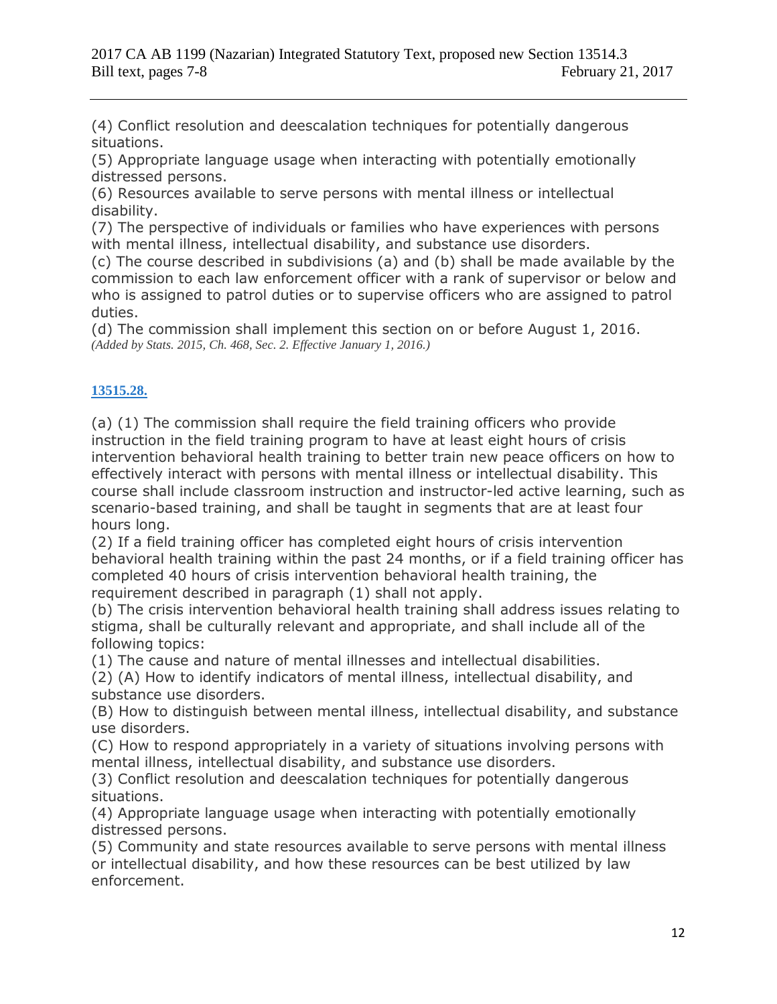(4) Conflict resolution and deescalation techniques for potentially dangerous situations.

(5) Appropriate language usage when interacting with potentially emotionally distressed persons.

(6) Resources available to serve persons with mental illness or intellectual disability.

(7) The perspective of individuals or families who have experiences with persons with mental illness, intellectual disability, and substance use disorders.

(c) The course described in subdivisions (a) and (b) shall be made available by the commission to each law enforcement officer with a rank of supervisor or below and who is assigned to patrol duties or to supervise officers who are assigned to patrol duties.

(d) The commission shall implement this section on or before August 1, 2016. *(Added by Stats. 2015, Ch. 468, Sec. 2. Effective January 1, 2016.)*

## **[13515.28.](javascript:submitCodesValues()**

(a) (1) The commission shall require the field training officers who provide instruction in the field training program to have at least eight hours of crisis intervention behavioral health training to better train new peace officers on how to effectively interact with persons with mental illness or intellectual disability. This course shall include classroom instruction and instructor-led active learning, such as scenario-based training, and shall be taught in segments that are at least four hours long.

(2) If a field training officer has completed eight hours of crisis intervention behavioral health training within the past 24 months, or if a field training officer has completed 40 hours of crisis intervention behavioral health training, the requirement described in paragraph (1) shall not apply.

(b) The crisis intervention behavioral health training shall address issues relating to stigma, shall be culturally relevant and appropriate, and shall include all of the following topics:

(1) The cause and nature of mental illnesses and intellectual disabilities.

(2) (A) How to identify indicators of mental illness, intellectual disability, and substance use disorders.

(B) How to distinguish between mental illness, intellectual disability, and substance use disorders.

(C) How to respond appropriately in a variety of situations involving persons with mental illness, intellectual disability, and substance use disorders.

(3) Conflict resolution and deescalation techniques for potentially dangerous situations.

(4) Appropriate language usage when interacting with potentially emotionally distressed persons.

(5) Community and state resources available to serve persons with mental illness or intellectual disability, and how these resources can be best utilized by law enforcement.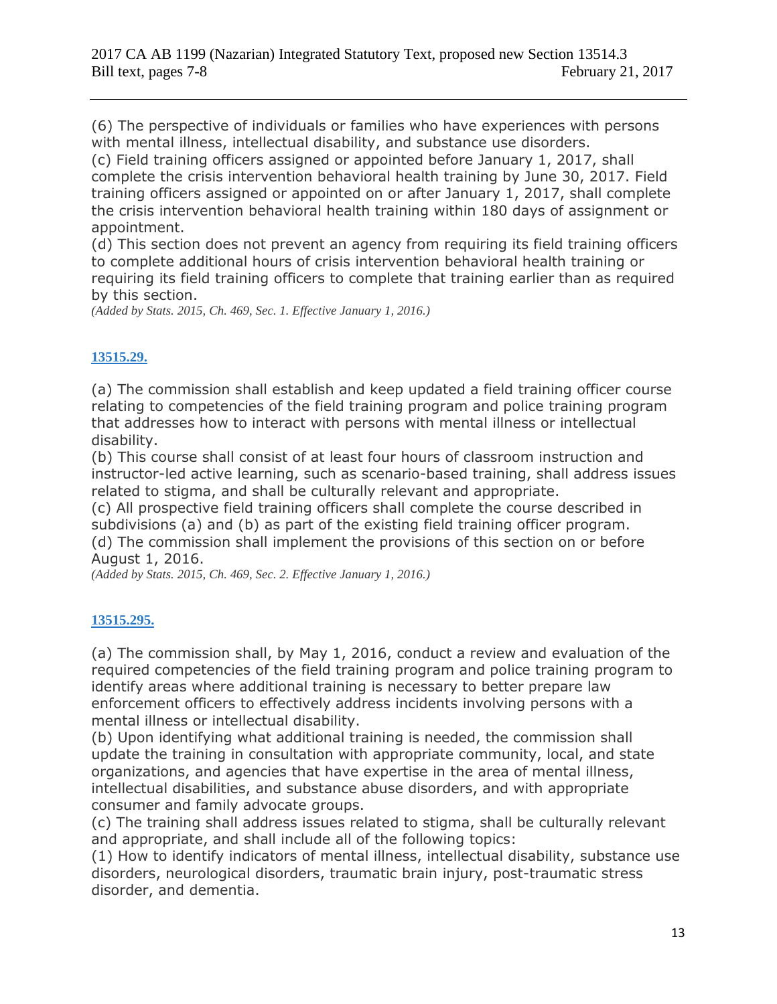(6) The perspective of individuals or families who have experiences with persons with mental illness, intellectual disability, and substance use disorders.

(c) Field training officers assigned or appointed before January 1, 2017, shall complete the crisis intervention behavioral health training by June 30, 2017. Field training officers assigned or appointed on or after January 1, 2017, shall complete the crisis intervention behavioral health training within 180 days of assignment or appointment.

(d) This section does not prevent an agency from requiring its field training officers to complete additional hours of crisis intervention behavioral health training or requiring its field training officers to complete that training earlier than as required by this section.

*(Added by Stats. 2015, Ch. 469, Sec. 1. Effective January 1, 2016.)*

## **[13515.29.](javascript:submitCodesValues()**

(a) The commission shall establish and keep updated a field training officer course relating to competencies of the field training program and police training program that addresses how to interact with persons with mental illness or intellectual disability.

(b) This course shall consist of at least four hours of classroom instruction and instructor-led active learning, such as scenario-based training, shall address issues related to stigma, and shall be culturally relevant and appropriate.

(c) All prospective field training officers shall complete the course described in subdivisions (a) and (b) as part of the existing field training officer program. (d) The commission shall implement the provisions of this section on or before August 1, 2016.

*(Added by Stats. 2015, Ch. 469, Sec. 2. Effective January 1, 2016.)*

## **[13515.295.](javascript:submitCodesValues()**

(a) The commission shall, by May 1, 2016, conduct a review and evaluation of the required competencies of the field training program and police training program to identify areas where additional training is necessary to better prepare law enforcement officers to effectively address incidents involving persons with a mental illness or intellectual disability.

(b) Upon identifying what additional training is needed, the commission shall update the training in consultation with appropriate community, local, and state organizations, and agencies that have expertise in the area of mental illness, intellectual disabilities, and substance abuse disorders, and with appropriate consumer and family advocate groups.

(c) The training shall address issues related to stigma, shall be culturally relevant and appropriate, and shall include all of the following topics:

(1) How to identify indicators of mental illness, intellectual disability, substance use disorders, neurological disorders, traumatic brain injury, post-traumatic stress disorder, and dementia.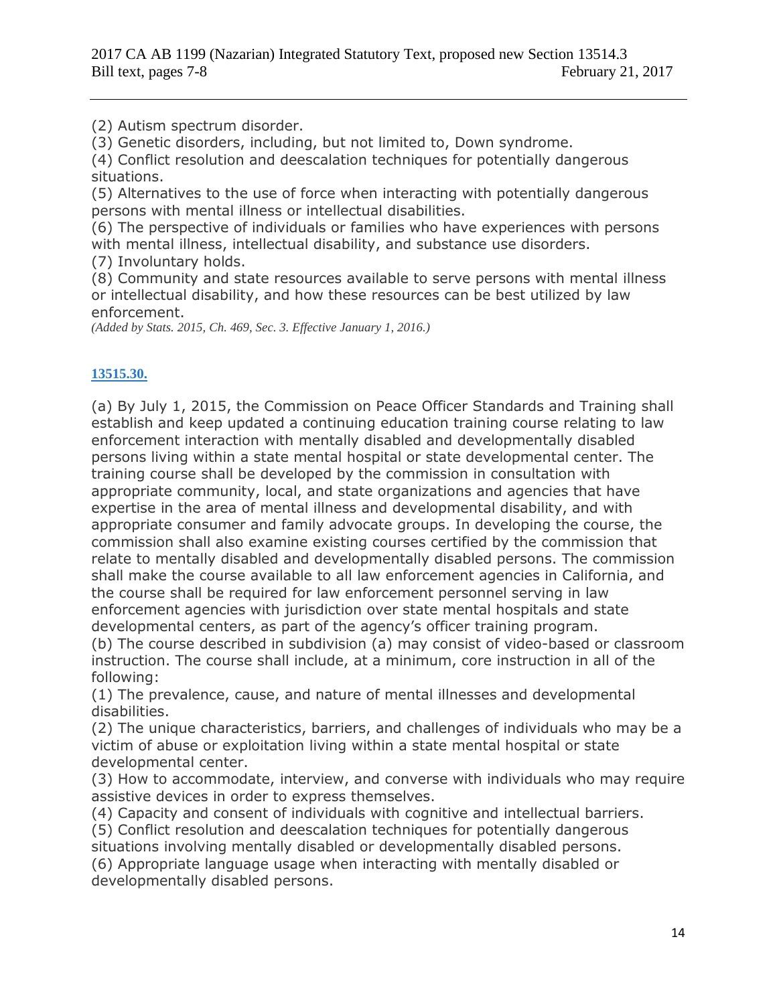(2) Autism spectrum disorder.

(3) Genetic disorders, including, but not limited to, Down syndrome.

(4) Conflict resolution and deescalation techniques for potentially dangerous situations.

(5) Alternatives to the use of force when interacting with potentially dangerous persons with mental illness or intellectual disabilities.

(6) The perspective of individuals or families who have experiences with persons with mental illness, intellectual disability, and substance use disorders.

(7) Involuntary holds.

(8) Community and state resources available to serve persons with mental illness or intellectual disability, and how these resources can be best utilized by law enforcement.

*(Added by Stats. 2015, Ch. 469, Sec. 3. Effective January 1, 2016.)*

## **[13515.30.](javascript:submitCodesValues()**

(a) By July 1, 2015, the Commission on Peace Officer Standards and Training shall establish and keep updated a continuing education training course relating to law enforcement interaction with mentally disabled and developmentally disabled persons living within a state mental hospital or state developmental center. The training course shall be developed by the commission in consultation with appropriate community, local, and state organizations and agencies that have expertise in the area of mental illness and developmental disability, and with appropriate consumer and family advocate groups. In developing the course, the commission shall also examine existing courses certified by the commission that relate to mentally disabled and developmentally disabled persons. The commission shall make the course available to all law enforcement agencies in California, and the course shall be required for law enforcement personnel serving in law enforcement agencies with jurisdiction over state mental hospitals and state developmental centers, as part of the agency's officer training program.

(b) The course described in subdivision (a) may consist of video-based or classroom instruction. The course shall include, at a minimum, core instruction in all of the following:

(1) The prevalence, cause, and nature of mental illnesses and developmental disabilities.

(2) The unique characteristics, barriers, and challenges of individuals who may be a victim of abuse or exploitation living within a state mental hospital or state developmental center.

(3) How to accommodate, interview, and converse with individuals who may require assistive devices in order to express themselves.

(4) Capacity and consent of individuals with cognitive and intellectual barriers.

(5) Conflict resolution and deescalation techniques for potentially dangerous situations involving mentally disabled or developmentally disabled persons.

(6) Appropriate language usage when interacting with mentally disabled or developmentally disabled persons.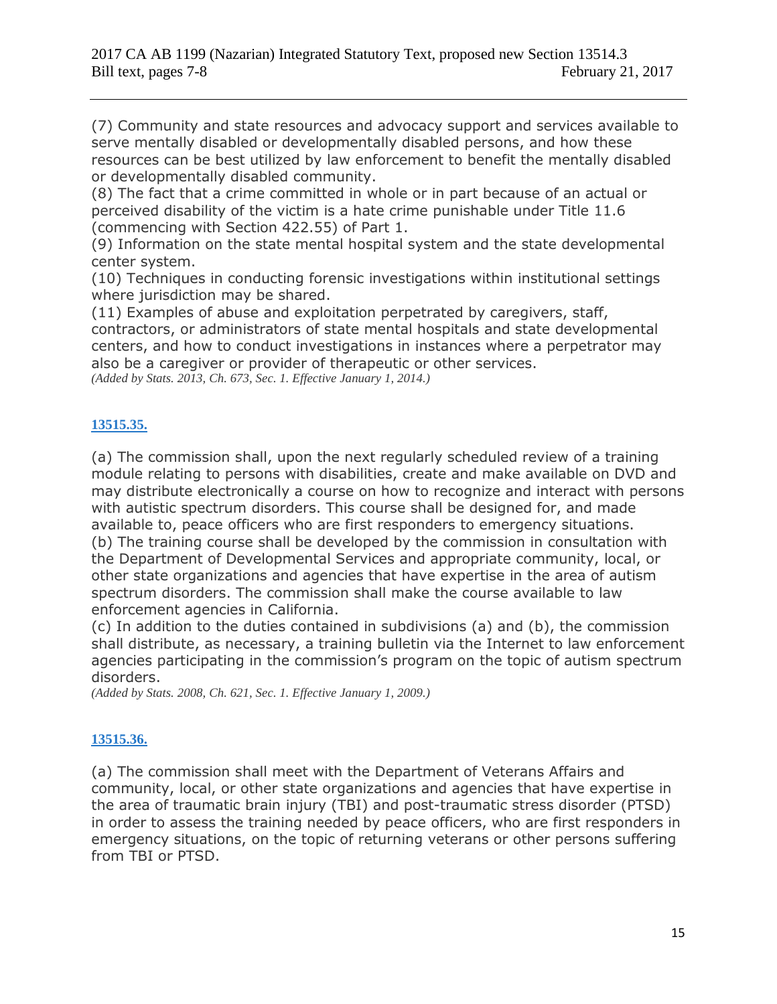(7) Community and state resources and advocacy support and services available to serve mentally disabled or developmentally disabled persons, and how these resources can be best utilized by law enforcement to benefit the mentally disabled or developmentally disabled community.

(8) The fact that a crime committed in whole or in part because of an actual or perceived disability of the victim is a hate crime punishable under Title 11.6 (commencing with Section 422.55) of Part 1.

(9) Information on the state mental hospital system and the state developmental center system.

(10) Techniques in conducting forensic investigations within institutional settings where jurisdiction may be shared.

(11) Examples of abuse and exploitation perpetrated by caregivers, staff, contractors, or administrators of state mental hospitals and state developmental centers, and how to conduct investigations in instances where a perpetrator may also be a caregiver or provider of therapeutic or other services. *(Added by Stats. 2013, Ch. 673, Sec. 1. Effective January 1, 2014.)*

**[13515.35.](javascript:submitCodesValues()**

(a) The commission shall, upon the next regularly scheduled review of a training module relating to persons with disabilities, create and make available on DVD and may distribute electronically a course on how to recognize and interact with persons with autistic spectrum disorders. This course shall be designed for, and made available to, peace officers who are first responders to emergency situations. (b) The training course shall be developed by the commission in consultation with the Department of Developmental Services and appropriate community, local, or other state organizations and agencies that have expertise in the area of autism spectrum disorders. The commission shall make the course available to law enforcement agencies in California.

(c) In addition to the duties contained in subdivisions (a) and (b), the commission shall distribute, as necessary, a training bulletin via the Internet to law enforcement agencies participating in the commission's program on the topic of autism spectrum disorders.

*(Added by Stats. 2008, Ch. 621, Sec. 1. Effective January 1, 2009.)*

## **[13515.36.](javascript:submitCodesValues()**

(a) The commission shall meet with the Department of Veterans Affairs and community, local, or other state organizations and agencies that have expertise in the area of traumatic brain injury (TBI) and post-traumatic stress disorder (PTSD) in order to assess the training needed by peace officers, who are first responders in emergency situations, on the topic of returning veterans or other persons suffering from TBI or PTSD.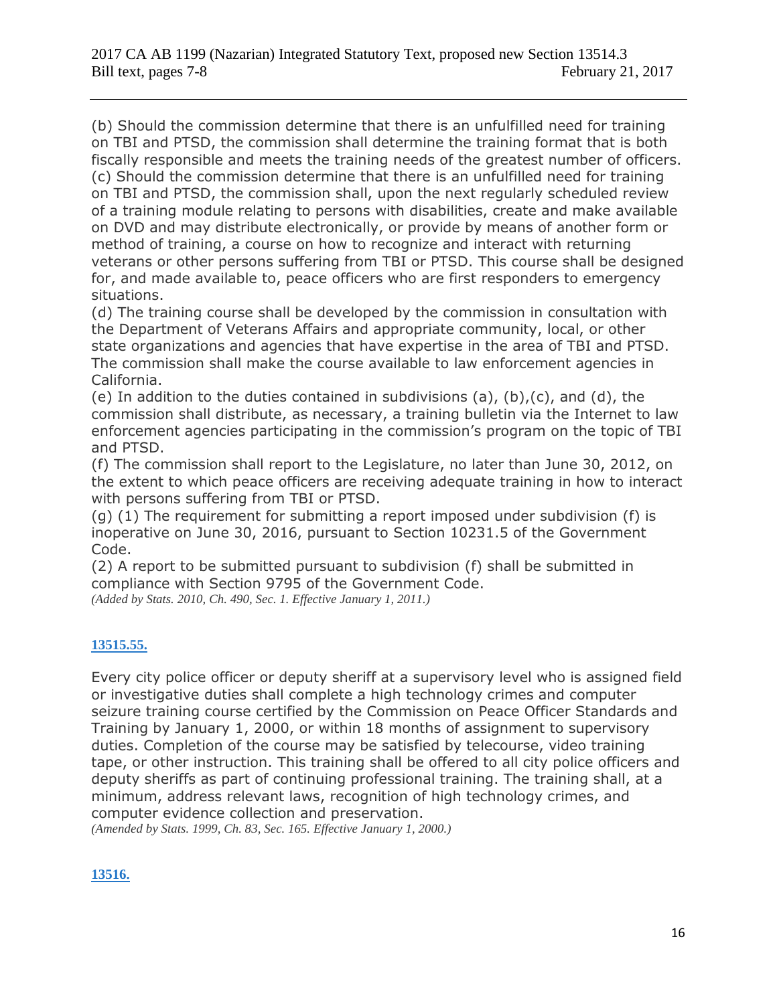(b) Should the commission determine that there is an unfulfilled need for training on TBI and PTSD, the commission shall determine the training format that is both fiscally responsible and meets the training needs of the greatest number of officers. (c) Should the commission determine that there is an unfulfilled need for training on TBI and PTSD, the commission shall, upon the next regularly scheduled review of a training module relating to persons with disabilities, create and make available on DVD and may distribute electronically, or provide by means of another form or method of training, a course on how to recognize and interact with returning veterans or other persons suffering from TBI or PTSD. This course shall be designed for, and made available to, peace officers who are first responders to emergency situations.

(d) The training course shall be developed by the commission in consultation with the Department of Veterans Affairs and appropriate community, local, or other state organizations and agencies that have expertise in the area of TBI and PTSD. The commission shall make the course available to law enforcement agencies in California.

(e) In addition to the duties contained in subdivisions (a), (b), (c), and (d), the commission shall distribute, as necessary, a training bulletin via the Internet to law enforcement agencies participating in the commission's program on the topic of TBI and PTSD.

(f) The commission shall report to the Legislature, no later than June 30, 2012, on the extent to which peace officers are receiving adequate training in how to interact with persons suffering from TBI or PTSD.

(g) (1) The requirement for submitting a report imposed under subdivision (f) is inoperative on June 30, 2016, pursuant to Section 10231.5 of the Government Code.

(2) A report to be submitted pursuant to subdivision (f) shall be submitted in compliance with Section 9795 of the Government Code. *(Added by Stats. 2010, Ch. 490, Sec. 1. Effective January 1, 2011.)*

## **[13515.55.](javascript:submitCodesValues()**

Every city police officer or deputy sheriff at a supervisory level who is assigned field or investigative duties shall complete a high technology crimes and computer seizure training course certified by the Commission on Peace Officer Standards and Training by January 1, 2000, or within 18 months of assignment to supervisory duties. Completion of the course may be satisfied by telecourse, video training tape, or other instruction. This training shall be offered to all city police officers and deputy sheriffs as part of continuing professional training. The training shall, at a minimum, address relevant laws, recognition of high technology crimes, and computer evidence collection and preservation.

*(Amended by Stats. 1999, Ch. 83, Sec. 165. Effective January 1, 2000.)*

## **[13516.](javascript:submitCodesValues()**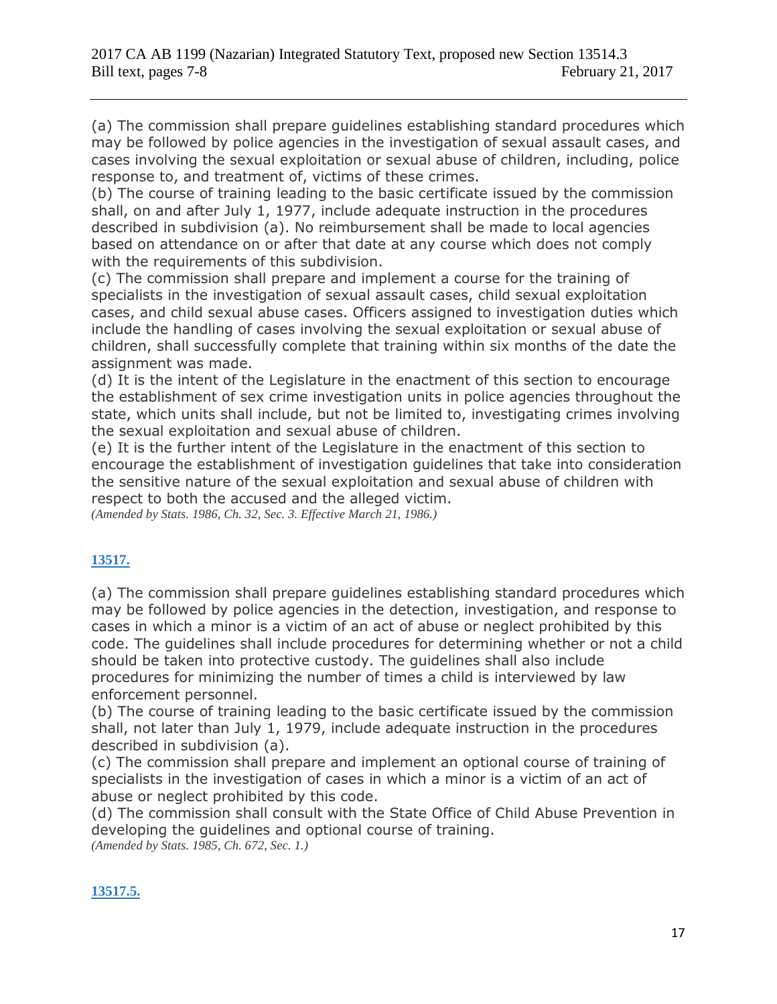(a) The commission shall prepare guidelines establishing standard procedures which may be followed by police agencies in the investigation of sexual assault cases, and cases involving the sexual exploitation or sexual abuse of children, including, police response to, and treatment of, victims of these crimes.

(b) The course of training leading to the basic certificate issued by the commission shall, on and after July 1, 1977, include adequate instruction in the procedures described in subdivision (a). No reimbursement shall be made to local agencies based on attendance on or after that date at any course which does not comply with the requirements of this subdivision.

(c) The commission shall prepare and implement a course for the training of specialists in the investigation of sexual assault cases, child sexual exploitation cases, and child sexual abuse cases. Officers assigned to investigation duties which include the handling of cases involving the sexual exploitation or sexual abuse of children, shall successfully complete that training within six months of the date the assignment was made.

(d) It is the intent of the Legislature in the enactment of this section to encourage the establishment of sex crime investigation units in police agencies throughout the state, which units shall include, but not be limited to, investigating crimes involving the sexual exploitation and sexual abuse of children.

(e) It is the further intent of the Legislature in the enactment of this section to encourage the establishment of investigation guidelines that take into consideration the sensitive nature of the sexual exploitation and sexual abuse of children with respect to both the accused and the alleged victim.

*(Amended by Stats. 1986, Ch. 32, Sec. 3. Effective March 21, 1986.)*

## **[13517.](javascript:submitCodesValues()**

(a) The commission shall prepare guidelines establishing standard procedures which may be followed by police agencies in the detection, investigation, and response to cases in which a minor is a victim of an act of abuse or neglect prohibited by this code. The guidelines shall include procedures for determining whether or not a child should be taken into protective custody. The guidelines shall also include procedures for minimizing the number of times a child is interviewed by law enforcement personnel.

(b) The course of training leading to the basic certificate issued by the commission shall, not later than July 1, 1979, include adequate instruction in the procedures described in subdivision (a).

(c) The commission shall prepare and implement an optional course of training of specialists in the investigation of cases in which a minor is a victim of an act of abuse or neglect prohibited by this code.

(d) The commission shall consult with the State Office of Child Abuse Prevention in developing the guidelines and optional course of training. *(Amended by Stats. 1985, Ch. 672, Sec. 1.)*

## **[13517.5.](javascript:submitCodesValues()**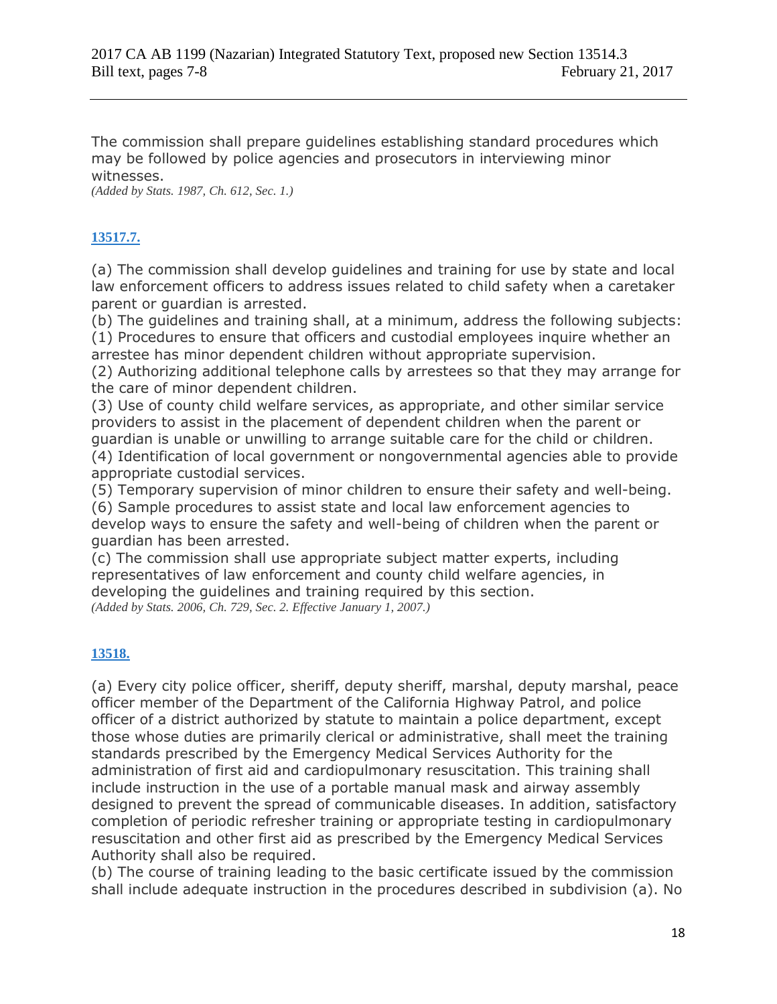The commission shall prepare guidelines establishing standard procedures which may be followed by police agencies and prosecutors in interviewing minor witnesses.

*(Added by Stats. 1987, Ch. 612, Sec. 1.)*

## **[13517.7.](javascript:submitCodesValues()**

(a) The commission shall develop guidelines and training for use by state and local law enforcement officers to address issues related to child safety when a caretaker parent or guardian is arrested.

(b) The guidelines and training shall, at a minimum, address the following subjects: (1) Procedures to ensure that officers and custodial employees inquire whether an arrestee has minor dependent children without appropriate supervision.

(2) Authorizing additional telephone calls by arrestees so that they may arrange for the care of minor dependent children.

(3) Use of county child welfare services, as appropriate, and other similar service providers to assist in the placement of dependent children when the parent or guardian is unable or unwilling to arrange suitable care for the child or children. (4) Identification of local government or nongovernmental agencies able to provide appropriate custodial services.

(5) Temporary supervision of minor children to ensure their safety and well-being.

(6) Sample procedures to assist state and local law enforcement agencies to develop ways to ensure the safety and well-being of children when the parent or guardian has been arrested.

(c) The commission shall use appropriate subject matter experts, including representatives of law enforcement and county child welfare agencies, in developing the guidelines and training required by this section. *(Added by Stats. 2006, Ch. 729, Sec. 2. Effective January 1, 2007.)*

## **[13518.](javascript:submitCodesValues()**

(a) Every city police officer, sheriff, deputy sheriff, marshal, deputy marshal, peace officer member of the Department of the California Highway Patrol, and police officer of a district authorized by statute to maintain a police department, except those whose duties are primarily clerical or administrative, shall meet the training standards prescribed by the Emergency Medical Services Authority for the administration of first aid and cardiopulmonary resuscitation. This training shall include instruction in the use of a portable manual mask and airway assembly designed to prevent the spread of communicable diseases. In addition, satisfactory completion of periodic refresher training or appropriate testing in cardiopulmonary resuscitation and other first aid as prescribed by the Emergency Medical Services Authority shall also be required.

(b) The course of training leading to the basic certificate issued by the commission shall include adequate instruction in the procedures described in subdivision (a). No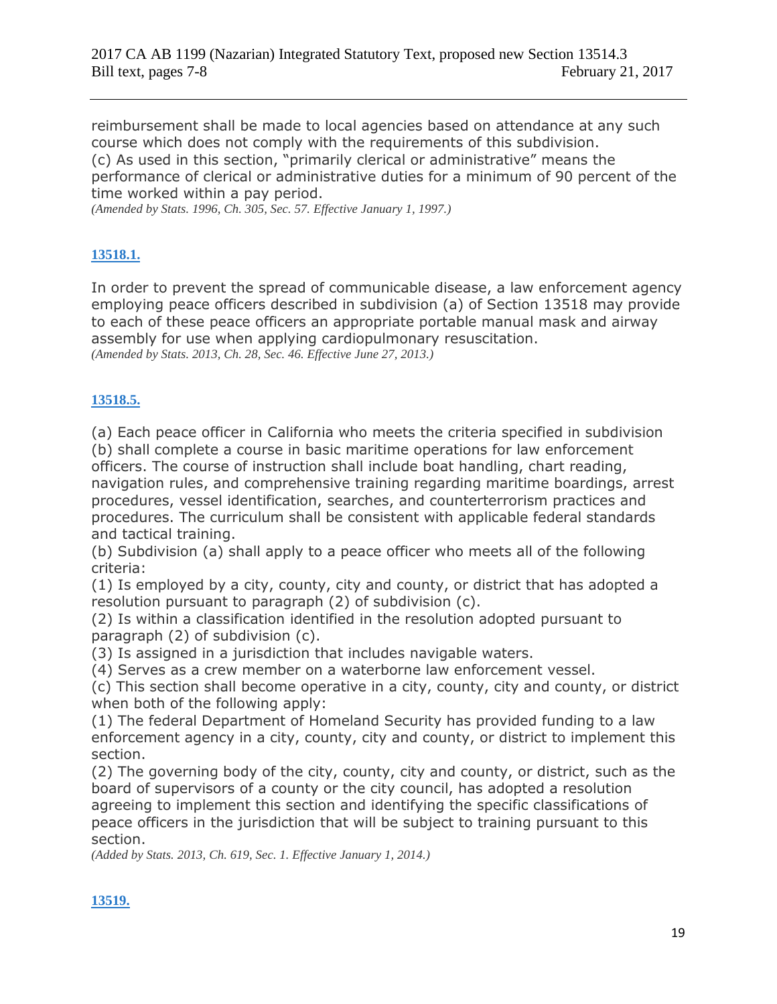reimbursement shall be made to local agencies based on attendance at any such course which does not comply with the requirements of this subdivision. (c) As used in this section, "primarily clerical or administrative" means the performance of clerical or administrative duties for a minimum of 90 percent of the time worked within a pay period.

*(Amended by Stats. 1996, Ch. 305, Sec. 57. Effective January 1, 1997.)*

## **[13518.1.](javascript:submitCodesValues()**

In order to prevent the spread of communicable disease, a law enforcement agency employing peace officers described in subdivision (a) of Section 13518 may provide to each of these peace officers an appropriate portable manual mask and airway assembly for use when applying cardiopulmonary resuscitation. *(Amended by Stats. 2013, Ch. 28, Sec. 46. Effective June 27, 2013.)*

### **[13518.5.](javascript:submitCodesValues()**

(a) Each peace officer in California who meets the criteria specified in subdivision (b) shall complete a course in basic maritime operations for law enforcement officers. The course of instruction shall include boat handling, chart reading, navigation rules, and comprehensive training regarding maritime boardings, arrest procedures, vessel identification, searches, and counterterrorism practices and procedures. The curriculum shall be consistent with applicable federal standards and tactical training.

(b) Subdivision (a) shall apply to a peace officer who meets all of the following criteria:

(1) Is employed by a city, county, city and county, or district that has adopted a resolution pursuant to paragraph (2) of subdivision (c).

(2) Is within a classification identified in the resolution adopted pursuant to paragraph (2) of subdivision (c).

(3) Is assigned in a jurisdiction that includes navigable waters.

(4) Serves as a crew member on a waterborne law enforcement vessel.

(c) This section shall become operative in a city, county, city and county, or district when both of the following apply:

(1) The federal Department of Homeland Security has provided funding to a law enforcement agency in a city, county, city and county, or district to implement this section.

(2) The governing body of the city, county, city and county, or district, such as the board of supervisors of a county or the city council, has adopted a resolution agreeing to implement this section and identifying the specific classifications of peace officers in the jurisdiction that will be subject to training pursuant to this section.

*(Added by Stats. 2013, Ch. 619, Sec. 1. Effective January 1, 2014.)*

### **[13519.](javascript:submitCodesValues()**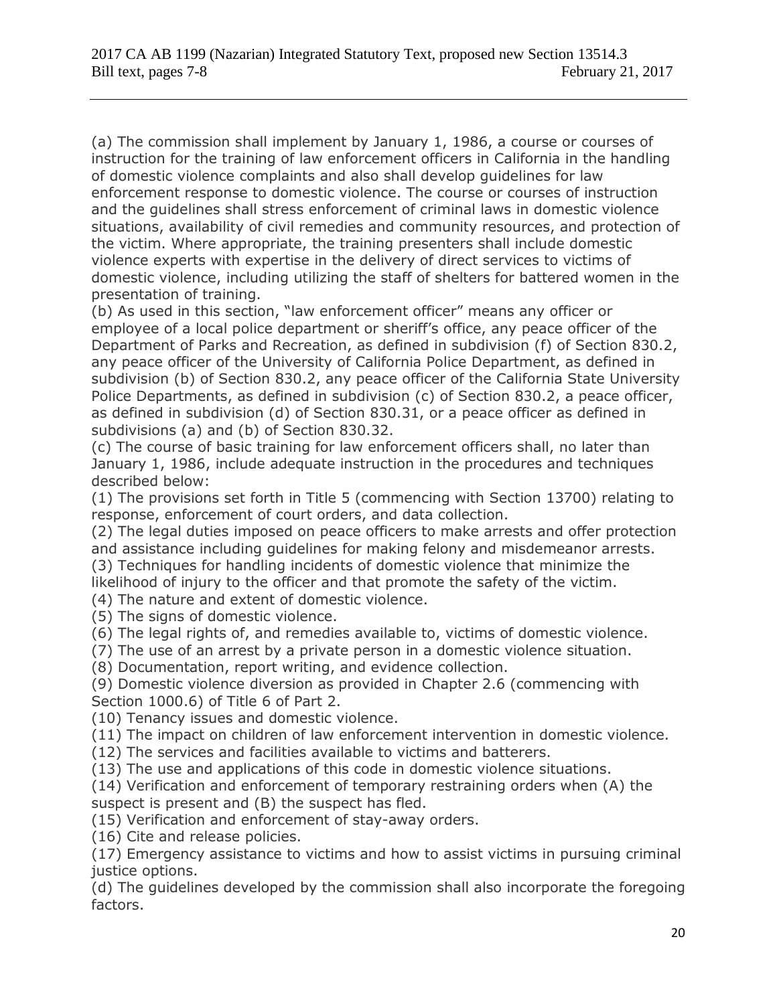(a) The commission shall implement by January 1, 1986, a course or courses of instruction for the training of law enforcement officers in California in the handling of domestic violence complaints and also shall develop guidelines for law enforcement response to domestic violence. The course or courses of instruction and the guidelines shall stress enforcement of criminal laws in domestic violence situations, availability of civil remedies and community resources, and protection of the victim. Where appropriate, the training presenters shall include domestic violence experts with expertise in the delivery of direct services to victims of domestic violence, including utilizing the staff of shelters for battered women in the presentation of training.

(b) As used in this section, "law enforcement officer" means any officer or employee of a local police department or sheriff's office, any peace officer of the Department of Parks and Recreation, as defined in subdivision (f) of Section 830.2, any peace officer of the University of California Police Department, as defined in subdivision (b) of Section 830.2, any peace officer of the California State University Police Departments, as defined in subdivision (c) of Section 830.2, a peace officer, as defined in subdivision (d) of Section 830.31, or a peace officer as defined in subdivisions (a) and (b) of Section 830.32.

(c) The course of basic training for law enforcement officers shall, no later than January 1, 1986, include adequate instruction in the procedures and techniques described below:

(1) The provisions set forth in Title 5 (commencing with Section 13700) relating to response, enforcement of court orders, and data collection.

(2) The legal duties imposed on peace officers to make arrests and offer protection and assistance including guidelines for making felony and misdemeanor arrests.

(3) Techniques for handling incidents of domestic violence that minimize the

likelihood of injury to the officer and that promote the safety of the victim. (4) The nature and extent of domestic violence.

(5) The signs of domestic violence.

(6) The legal rights of, and remedies available to, victims of domestic violence.

(7) The use of an arrest by a private person in a domestic violence situation.

(8) Documentation, report writing, and evidence collection.

(9) Domestic violence diversion as provided in Chapter 2.6 (commencing with Section 1000.6) of Title 6 of Part 2.

(10) Tenancy issues and domestic violence.

(11) The impact on children of law enforcement intervention in domestic violence.

(12) The services and facilities available to victims and batterers.

(13) The use and applications of this code in domestic violence situations.

(14) Verification and enforcement of temporary restraining orders when (A) the suspect is present and (B) the suspect has fled.

(15) Verification and enforcement of stay-away orders.

(16) Cite and release policies.

(17) Emergency assistance to victims and how to assist victims in pursuing criminal justice options.

(d) The guidelines developed by the commission shall also incorporate the foregoing factors.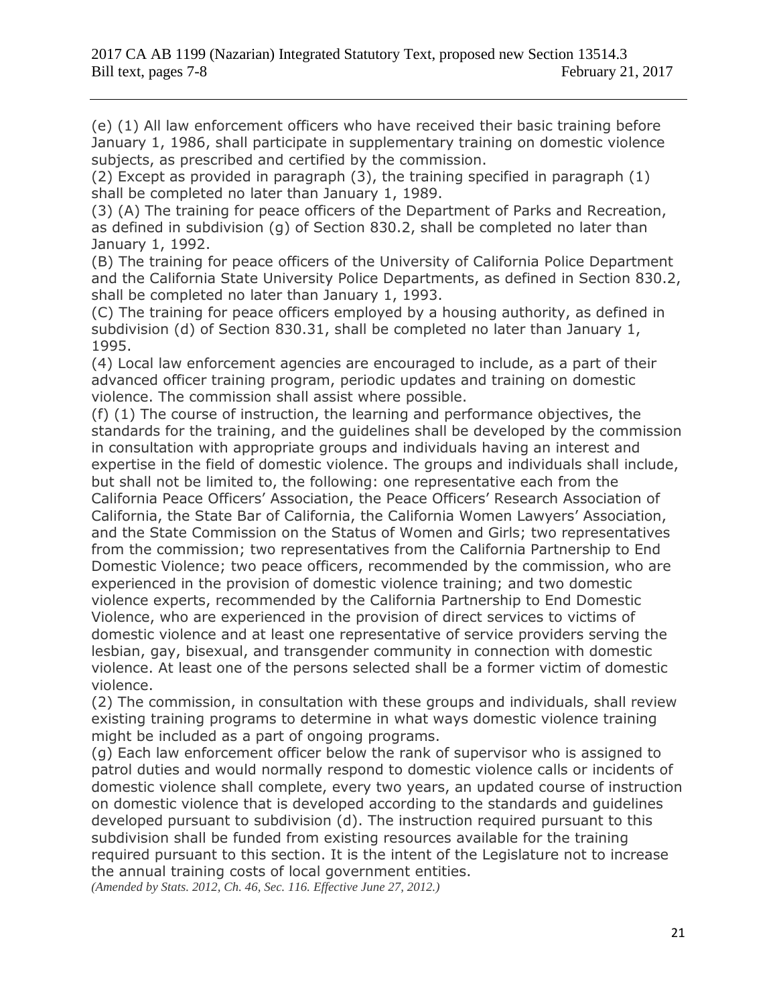(e) (1) All law enforcement officers who have received their basic training before January 1, 1986, shall participate in supplementary training on domestic violence subjects, as prescribed and certified by the commission.

(2) Except as provided in paragraph (3), the training specified in paragraph (1) shall be completed no later than January 1, 1989.

(3) (A) The training for peace officers of the Department of Parks and Recreation, as defined in subdivision (g) of Section 830.2, shall be completed no later than January 1, 1992.

(B) The training for peace officers of the University of California Police Department and the California State University Police Departments, as defined in Section 830.2, shall be completed no later than January 1, 1993.

(C) The training for peace officers employed by a housing authority, as defined in subdivision (d) of Section 830.31, shall be completed no later than January 1, 1995.

(4) Local law enforcement agencies are encouraged to include, as a part of their advanced officer training program, periodic updates and training on domestic violence. The commission shall assist where possible.

(f) (1) The course of instruction, the learning and performance objectives, the standards for the training, and the guidelines shall be developed by the commission in consultation with appropriate groups and individuals having an interest and expertise in the field of domestic violence. The groups and individuals shall include, but shall not be limited to, the following: one representative each from the California Peace Officers' Association, the Peace Officers' Research Association of California, the State Bar of California, the California Women Lawyers' Association, and the State Commission on the Status of Women and Girls; two representatives from the commission; two representatives from the California Partnership to End Domestic Violence; two peace officers, recommended by the commission, who are experienced in the provision of domestic violence training; and two domestic violence experts, recommended by the California Partnership to End Domestic Violence, who are experienced in the provision of direct services to victims of domestic violence and at least one representative of service providers serving the lesbian, gay, bisexual, and transgender community in connection with domestic violence. At least one of the persons selected shall be a former victim of domestic violence.

(2) The commission, in consultation with these groups and individuals, shall review existing training programs to determine in what ways domestic violence training might be included as a part of ongoing programs.

(g) Each law enforcement officer below the rank of supervisor who is assigned to patrol duties and would normally respond to domestic violence calls or incidents of domestic violence shall complete, every two years, an updated course of instruction on domestic violence that is developed according to the standards and guidelines developed pursuant to subdivision (d). The instruction required pursuant to this subdivision shall be funded from existing resources available for the training required pursuant to this section. It is the intent of the Legislature not to increase the annual training costs of local government entities.

*(Amended by Stats. 2012, Ch. 46, Sec. 116. Effective June 27, 2012.)*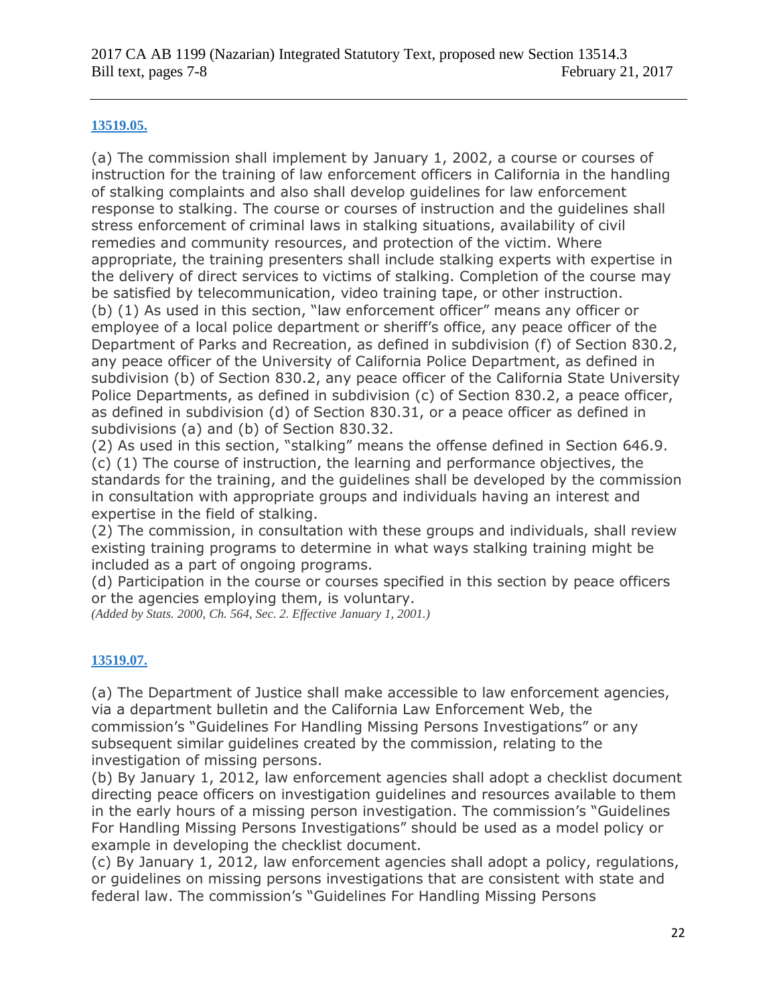### **[13519.05.](javascript:submitCodesValues()**

(a) The commission shall implement by January 1, 2002, a course or courses of instruction for the training of law enforcement officers in California in the handling of stalking complaints and also shall develop guidelines for law enforcement response to stalking. The course or courses of instruction and the guidelines shall stress enforcement of criminal laws in stalking situations, availability of civil remedies and community resources, and protection of the victim. Where appropriate, the training presenters shall include stalking experts with expertise in the delivery of direct services to victims of stalking. Completion of the course may be satisfied by telecommunication, video training tape, or other instruction. (b) (1) As used in this section, "law enforcement officer" means any officer or employee of a local police department or sheriff's office, any peace officer of the Department of Parks and Recreation, as defined in subdivision (f) of Section 830.2, any peace officer of the University of California Police Department, as defined in subdivision (b) of Section 830.2, any peace officer of the California State University Police Departments, as defined in subdivision (c) of Section 830.2, a peace officer, as defined in subdivision (d) of Section 830.31, or a peace officer as defined in subdivisions (a) and (b) of Section 830.32.

(2) As used in this section, "stalking" means the offense defined in Section 646.9. (c) (1) The course of instruction, the learning and performance objectives, the standards for the training, and the guidelines shall be developed by the commission in consultation with appropriate groups and individuals having an interest and expertise in the field of stalking.

(2) The commission, in consultation with these groups and individuals, shall review existing training programs to determine in what ways stalking training might be included as a part of ongoing programs.

(d) Participation in the course or courses specified in this section by peace officers or the agencies employing them, is voluntary.

*(Added by Stats. 2000, Ch. 564, Sec. 2. Effective January 1, 2001.)*

### **[13519.07.](javascript:submitCodesValues()**

(a) The Department of Justice shall make accessible to law enforcement agencies, via a department bulletin and the California Law Enforcement Web, the commission's "Guidelines For Handling Missing Persons Investigations" or any subsequent similar guidelines created by the commission, relating to the investigation of missing persons.

(b) By January 1, 2012, law enforcement agencies shall adopt a checklist document directing peace officers on investigation guidelines and resources available to them in the early hours of a missing person investigation. The commission's "Guidelines For Handling Missing Persons Investigations" should be used as a model policy or example in developing the checklist document.

(c) By January 1, 2012, law enforcement agencies shall adopt a policy, regulations, or guidelines on missing persons investigations that are consistent with state and federal law. The commission's "Guidelines For Handling Missing Persons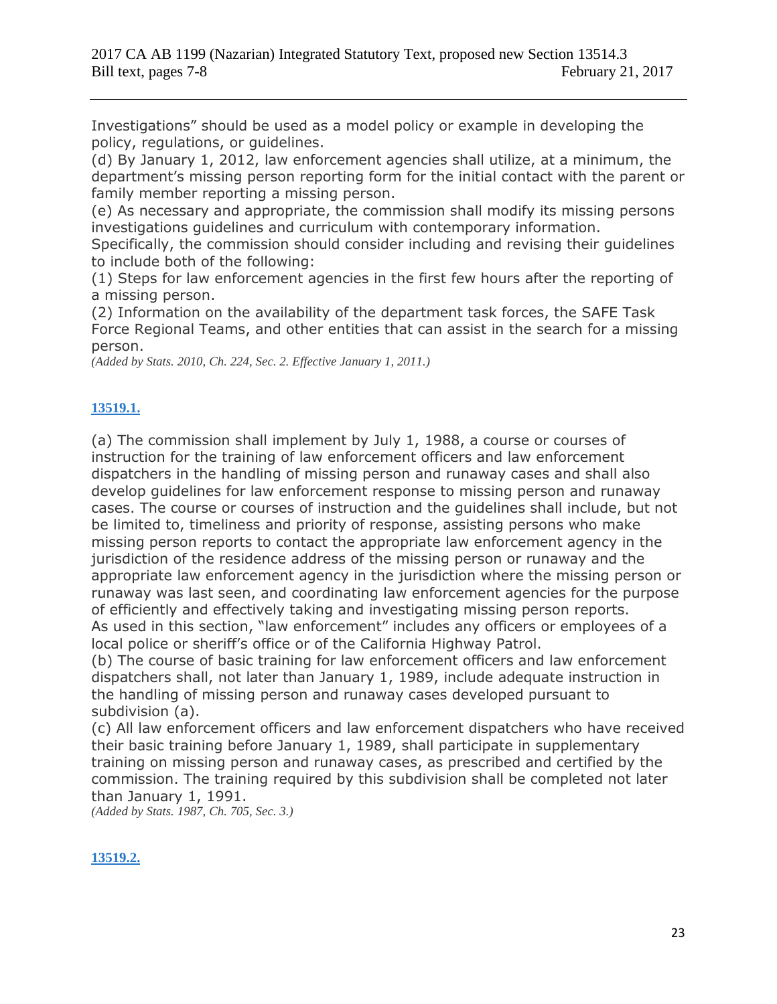Investigations" should be used as a model policy or example in developing the policy, regulations, or guidelines.

(d) By January 1, 2012, law enforcement agencies shall utilize, at a minimum, the department's missing person reporting form for the initial contact with the parent or family member reporting a missing person.

(e) As necessary and appropriate, the commission shall modify its missing persons investigations guidelines and curriculum with contemporary information.

Specifically, the commission should consider including and revising their guidelines to include both of the following:

(1) Steps for law enforcement agencies in the first few hours after the reporting of a missing person.

(2) Information on the availability of the department task forces, the SAFE Task Force Regional Teams, and other entities that can assist in the search for a missing person.

*(Added by Stats. 2010, Ch. 224, Sec. 2. Effective January 1, 2011.)*

## **[13519.1.](javascript:submitCodesValues()**

(a) The commission shall implement by July 1, 1988, a course or courses of instruction for the training of law enforcement officers and law enforcement dispatchers in the handling of missing person and runaway cases and shall also develop guidelines for law enforcement response to missing person and runaway cases. The course or courses of instruction and the guidelines shall include, but not be limited to, timeliness and priority of response, assisting persons who make missing person reports to contact the appropriate law enforcement agency in the jurisdiction of the residence address of the missing person or runaway and the appropriate law enforcement agency in the jurisdiction where the missing person or runaway was last seen, and coordinating law enforcement agencies for the purpose of efficiently and effectively taking and investigating missing person reports. As used in this section, "law enforcement" includes any officers or employees of a local police or sheriff's office or of the California Highway Patrol.

(b) The course of basic training for law enforcement officers and law enforcement dispatchers shall, not later than January 1, 1989, include adequate instruction in the handling of missing person and runaway cases developed pursuant to subdivision (a).

(c) All law enforcement officers and law enforcement dispatchers who have received their basic training before January 1, 1989, shall participate in supplementary training on missing person and runaway cases, as prescribed and certified by the commission. The training required by this subdivision shall be completed not later than January 1, 1991.

*(Added by Stats. 1987, Ch. 705, Sec. 3.)*

## **[13519.2.](javascript:submitCodesValues()**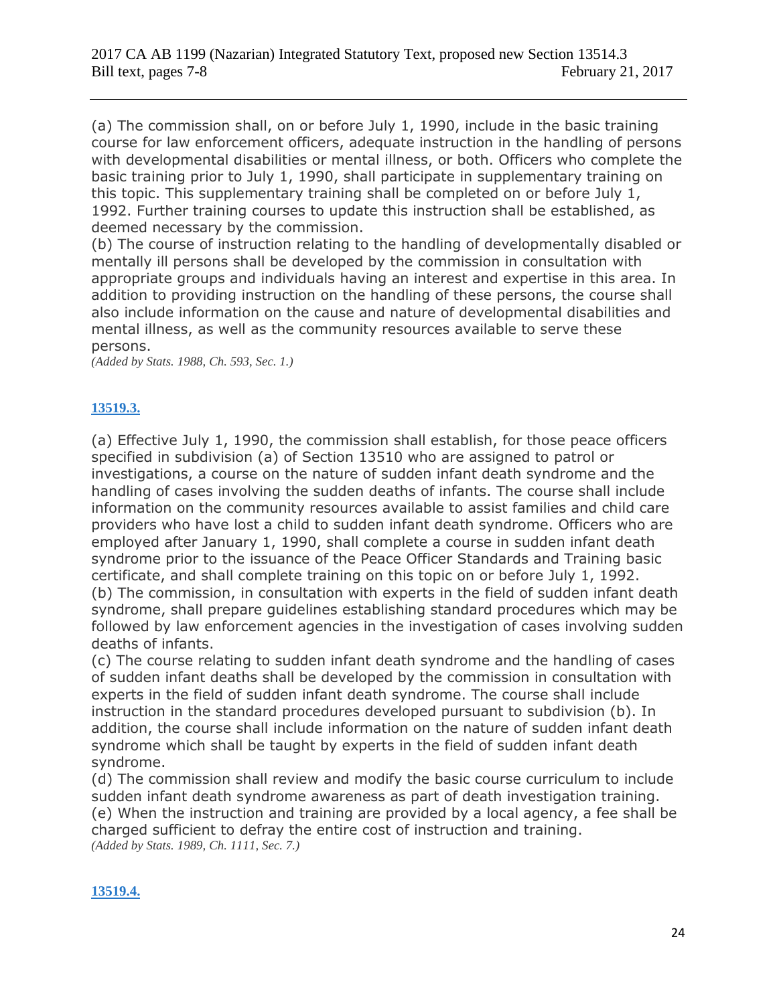(a) The commission shall, on or before July 1, 1990, include in the basic training course for law enforcement officers, adequate instruction in the handling of persons with developmental disabilities or mental illness, or both. Officers who complete the basic training prior to July 1, 1990, shall participate in supplementary training on this topic. This supplementary training shall be completed on or before July 1, 1992. Further training courses to update this instruction shall be established, as deemed necessary by the commission.

(b) The course of instruction relating to the handling of developmentally disabled or mentally ill persons shall be developed by the commission in consultation with appropriate groups and individuals having an interest and expertise in this area. In addition to providing instruction on the handling of these persons, the course shall also include information on the cause and nature of developmental disabilities and mental illness, as well as the community resources available to serve these persons.

*(Added by Stats. 1988, Ch. 593, Sec. 1.)*

### **[13519.3.](javascript:submitCodesValues()**

(a) Effective July 1, 1990, the commission shall establish, for those peace officers specified in subdivision (a) of Section 13510 who are assigned to patrol or investigations, a course on the nature of sudden infant death syndrome and the handling of cases involving the sudden deaths of infants. The course shall include information on the community resources available to assist families and child care providers who have lost a child to sudden infant death syndrome. Officers who are employed after January 1, 1990, shall complete a course in sudden infant death syndrome prior to the issuance of the Peace Officer Standards and Training basic certificate, and shall complete training on this topic on or before July 1, 1992. (b) The commission, in consultation with experts in the field of sudden infant death syndrome, shall prepare guidelines establishing standard procedures which may be followed by law enforcement agencies in the investigation of cases involving sudden deaths of infants.

(c) The course relating to sudden infant death syndrome and the handling of cases of sudden infant deaths shall be developed by the commission in consultation with experts in the field of sudden infant death syndrome. The course shall include instruction in the standard procedures developed pursuant to subdivision (b). In addition, the course shall include information on the nature of sudden infant death syndrome which shall be taught by experts in the field of sudden infant death syndrome.

(d) The commission shall review and modify the basic course curriculum to include sudden infant death syndrome awareness as part of death investigation training. (e) When the instruction and training are provided by a local agency, a fee shall be charged sufficient to defray the entire cost of instruction and training. *(Added by Stats. 1989, Ch. 1111, Sec. 7.)*

### **[13519.4.](javascript:submitCodesValues()**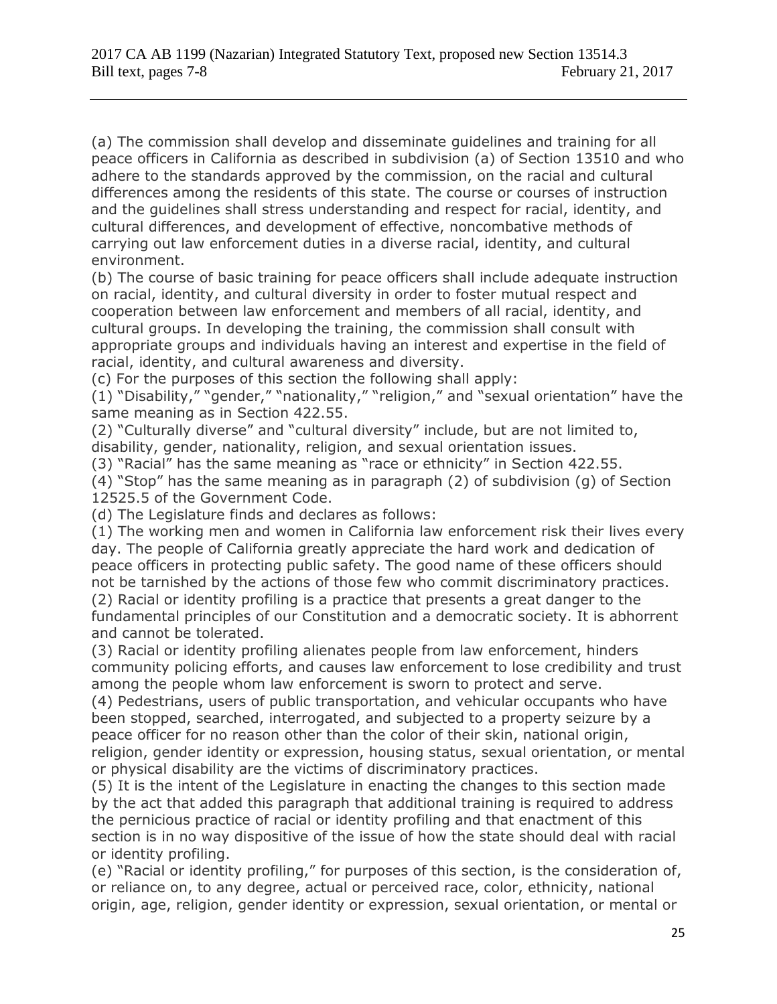(a) The commission shall develop and disseminate guidelines and training for all peace officers in California as described in subdivision (a) of Section 13510 and who adhere to the standards approved by the commission, on the racial and cultural differences among the residents of this state. The course or courses of instruction and the guidelines shall stress understanding and respect for racial, identity, and cultural differences, and development of effective, noncombative methods of carrying out law enforcement duties in a diverse racial, identity, and cultural environment.

(b) The course of basic training for peace officers shall include adequate instruction on racial, identity, and cultural diversity in order to foster mutual respect and cooperation between law enforcement and members of all racial, identity, and cultural groups. In developing the training, the commission shall consult with appropriate groups and individuals having an interest and expertise in the field of racial, identity, and cultural awareness and diversity.

(c) For the purposes of this section the following shall apply:

(1) "Disability," "gender," "nationality," "religion," and "sexual orientation" have the same meaning as in Section 422.55.

(2) "Culturally diverse" and "cultural diversity" include, but are not limited to, disability, gender, nationality, religion, and sexual orientation issues.

(3) "Racial" has the same meaning as "race or ethnicity" in Section 422.55.

(4) "Stop" has the same meaning as in paragraph (2) of subdivision (g) of Section 12525.5 of the Government Code.

(d) The Legislature finds and declares as follows:

(1) The working men and women in California law enforcement risk their lives every day. The people of California greatly appreciate the hard work and dedication of peace officers in protecting public safety. The good name of these officers should not be tarnished by the actions of those few who commit discriminatory practices. (2) Racial or identity profiling is a practice that presents a great danger to the fundamental principles of our Constitution and a democratic society. It is abhorrent and cannot be tolerated.

(3) Racial or identity profiling alienates people from law enforcement, hinders community policing efforts, and causes law enforcement to lose credibility and trust among the people whom law enforcement is sworn to protect and serve.

(4) Pedestrians, users of public transportation, and vehicular occupants who have been stopped, searched, interrogated, and subjected to a property seizure by a peace officer for no reason other than the color of their skin, national origin, religion, gender identity or expression, housing status, sexual orientation, or mental or physical disability are the victims of discriminatory practices.

(5) It is the intent of the Legislature in enacting the changes to this section made by the act that added this paragraph that additional training is required to address the pernicious practice of racial or identity profiling and that enactment of this section is in no way dispositive of the issue of how the state should deal with racial or identity profiling.

(e) "Racial or identity profiling," for purposes of this section, is the consideration of, or reliance on, to any degree, actual or perceived race, color, ethnicity, national origin, age, religion, gender identity or expression, sexual orientation, or mental or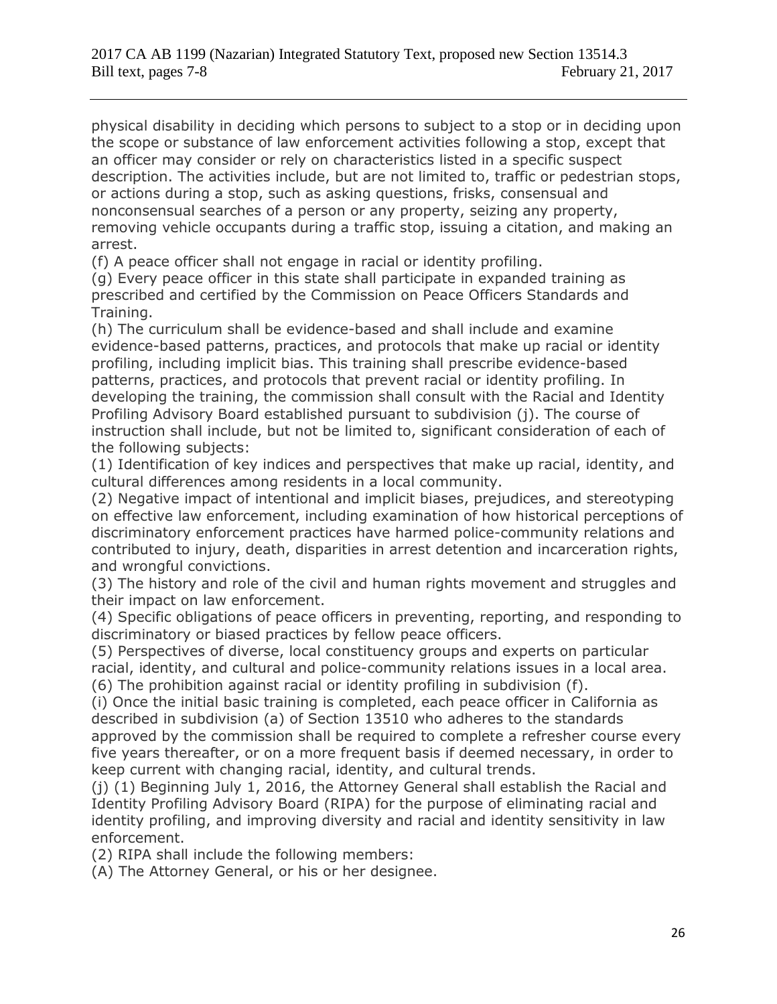physical disability in deciding which persons to subject to a stop or in deciding upon the scope or substance of law enforcement activities following a stop, except that an officer may consider or rely on characteristics listed in a specific suspect description. The activities include, but are not limited to, traffic or pedestrian stops, or actions during a stop, such as asking questions, frisks, consensual and nonconsensual searches of a person or any property, seizing any property, removing vehicle occupants during a traffic stop, issuing a citation, and making an arrest.

(f) A peace officer shall not engage in racial or identity profiling.

(g) Every peace officer in this state shall participate in expanded training as prescribed and certified by the Commission on Peace Officers Standards and Training.

(h) The curriculum shall be evidence-based and shall include and examine evidence-based patterns, practices, and protocols that make up racial or identity profiling, including implicit bias. This training shall prescribe evidence-based patterns, practices, and protocols that prevent racial or identity profiling. In developing the training, the commission shall consult with the Racial and Identity Profiling Advisory Board established pursuant to subdivision (j). The course of instruction shall include, but not be limited to, significant consideration of each of the following subjects:

(1) Identification of key indices and perspectives that make up racial, identity, and cultural differences among residents in a local community.

(2) Negative impact of intentional and implicit biases, prejudices, and stereotyping on effective law enforcement, including examination of how historical perceptions of discriminatory enforcement practices have harmed police-community relations and contributed to injury, death, disparities in arrest detention and incarceration rights, and wrongful convictions.

(3) The history and role of the civil and human rights movement and struggles and their impact on law enforcement.

(4) Specific obligations of peace officers in preventing, reporting, and responding to discriminatory or biased practices by fellow peace officers.

(5) Perspectives of diverse, local constituency groups and experts on particular racial, identity, and cultural and police-community relations issues in a local area. (6) The prohibition against racial or identity profiling in subdivision (f).

(i) Once the initial basic training is completed, each peace officer in California as described in subdivision (a) of Section 13510 who adheres to the standards approved by the commission shall be required to complete a refresher course every five years thereafter, or on a more frequent basis if deemed necessary, in order to keep current with changing racial, identity, and cultural trends.

(j) (1) Beginning July 1, 2016, the Attorney General shall establish the Racial and Identity Profiling Advisory Board (RIPA) for the purpose of eliminating racial and identity profiling, and improving diversity and racial and identity sensitivity in law enforcement.

(2) RIPA shall include the following members:

(A) The Attorney General, or his or her designee.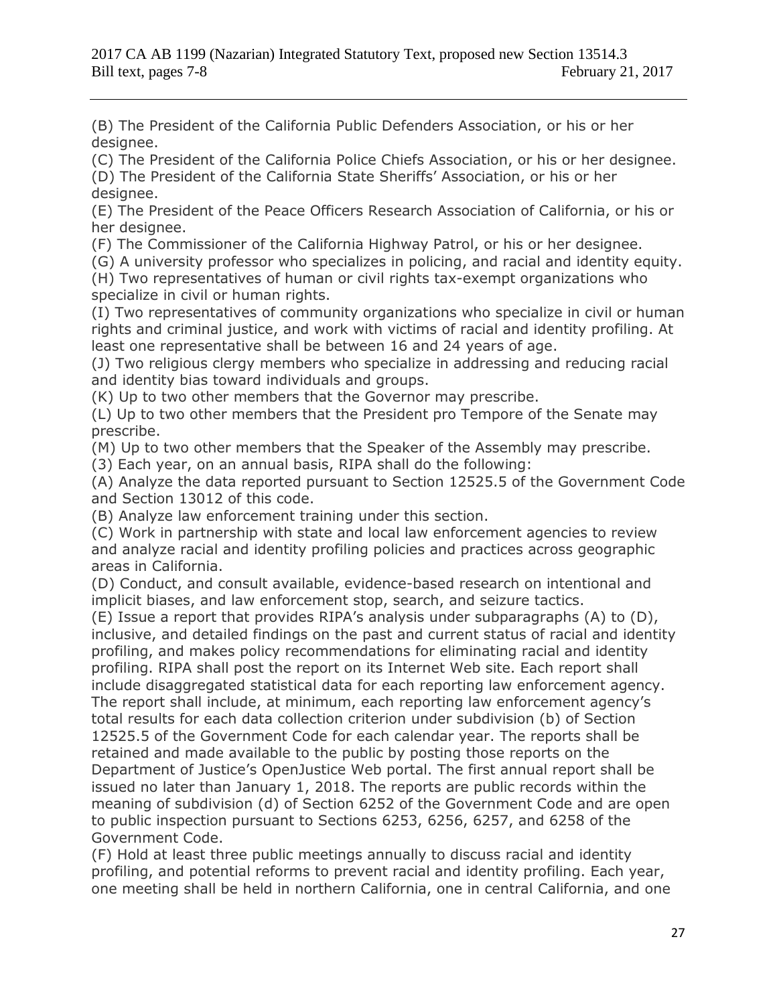(B) The President of the California Public Defenders Association, or his or her designee.

(C) The President of the California Police Chiefs Association, or his or her designee. (D) The President of the California State Sheriffs' Association, or his or her

designee.

(E) The President of the Peace Officers Research Association of California, or his or her designee.

(F) The Commissioner of the California Highway Patrol, or his or her designee.

(G) A university professor who specializes in policing, and racial and identity equity.

(H) Two representatives of human or civil rights tax-exempt organizations who specialize in civil or human rights.

(I) Two representatives of community organizations who specialize in civil or human rights and criminal justice, and work with victims of racial and identity profiling. At least one representative shall be between 16 and 24 years of age.

(J) Two religious clergy members who specialize in addressing and reducing racial and identity bias toward individuals and groups.

(K) Up to two other members that the Governor may prescribe.

(L) Up to two other members that the President pro Tempore of the Senate may prescribe.

(M) Up to two other members that the Speaker of the Assembly may prescribe.

(3) Each year, on an annual basis, RIPA shall do the following:

(A) Analyze the data reported pursuant to Section 12525.5 of the Government Code and Section 13012 of this code.

(B) Analyze law enforcement training under this section.

(C) Work in partnership with state and local law enforcement agencies to review and analyze racial and identity profiling policies and practices across geographic areas in California.

(D) Conduct, and consult available, evidence-based research on intentional and implicit biases, and law enforcement stop, search, and seizure tactics.

(E) Issue a report that provides RIPA's analysis under subparagraphs (A) to (D), inclusive, and detailed findings on the past and current status of racial and identity profiling, and makes policy recommendations for eliminating racial and identity profiling. RIPA shall post the report on its Internet Web site. Each report shall include disaggregated statistical data for each reporting law enforcement agency. The report shall include, at minimum, each reporting law enforcement agency's total results for each data collection criterion under subdivision (b) of Section 12525.5 of the Government Code for each calendar year. The reports shall be retained and made available to the public by posting those reports on the Department of Justice's OpenJustice Web portal. The first annual report shall be issued no later than January 1, 2018. The reports are public records within the meaning of subdivision (d) of Section 6252 of the Government Code and are open to public inspection pursuant to Sections 6253, 6256, 6257, and 6258 of the Government Code.

(F) Hold at least three public meetings annually to discuss racial and identity profiling, and potential reforms to prevent racial and identity profiling. Each year, one meeting shall be held in northern California, one in central California, and one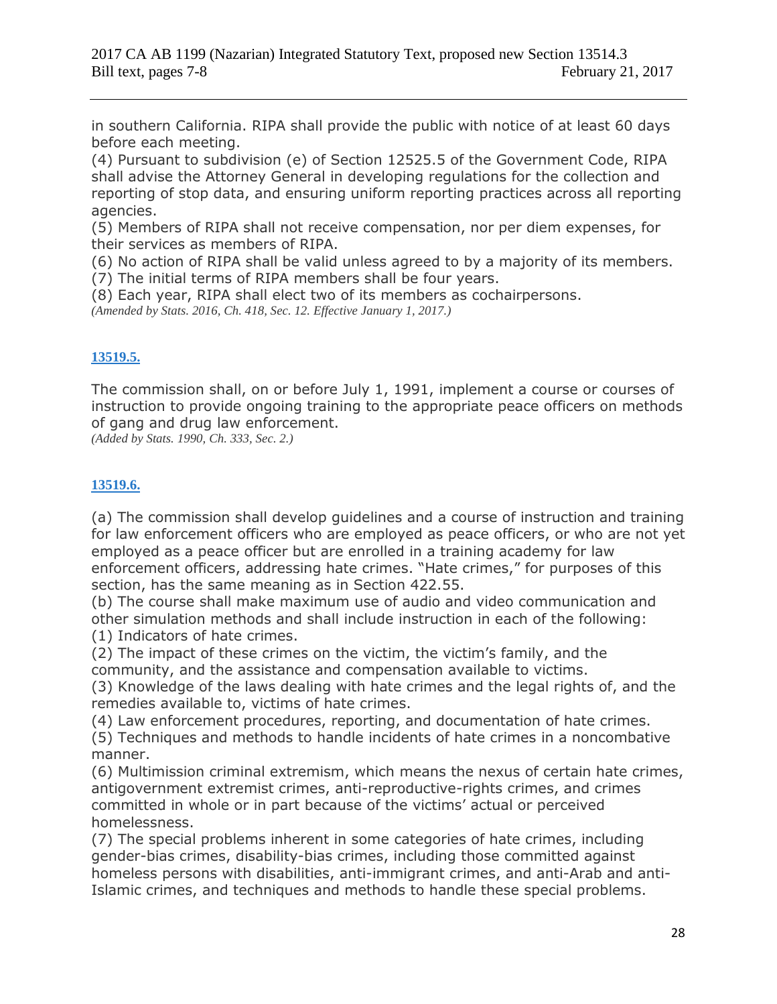in southern California. RIPA shall provide the public with notice of at least 60 days before each meeting.

(4) Pursuant to subdivision (e) of Section 12525.5 of the Government Code, RIPA shall advise the Attorney General in developing regulations for the collection and reporting of stop data, and ensuring uniform reporting practices across all reporting agencies.

(5) Members of RIPA shall not receive compensation, nor per diem expenses, for their services as members of RIPA.

(6) No action of RIPA shall be valid unless agreed to by a majority of its members. (7) The initial terms of RIPA members shall be four years.

(8) Each year, RIPA shall elect two of its members as cochairpersons. *(Amended by Stats. 2016, Ch. 418, Sec. 12. Effective January 1, 2017.)*

## **[13519.5.](javascript:submitCodesValues()**

The commission shall, on or before July 1, 1991, implement a course or courses of instruction to provide ongoing training to the appropriate peace officers on methods of gang and drug law enforcement.

*(Added by Stats. 1990, Ch. 333, Sec. 2.)*

## **[13519.6.](javascript:submitCodesValues()**

(a) The commission shall develop guidelines and a course of instruction and training for law enforcement officers who are employed as peace officers, or who are not yet employed as a peace officer but are enrolled in a training academy for law enforcement officers, addressing hate crimes. "Hate crimes," for purposes of this section, has the same meaning as in Section 422.55.

(b) The course shall make maximum use of audio and video communication and other simulation methods and shall include instruction in each of the following: (1) Indicators of hate crimes.

(2) The impact of these crimes on the victim, the victim's family, and the community, and the assistance and compensation available to victims.

(3) Knowledge of the laws dealing with hate crimes and the legal rights of, and the remedies available to, victims of hate crimes.

(4) Law enforcement procedures, reporting, and documentation of hate crimes.

(5) Techniques and methods to handle incidents of hate crimes in a noncombative manner.

(6) Multimission criminal extremism, which means the nexus of certain hate crimes, antigovernment extremist crimes, anti-reproductive-rights crimes, and crimes committed in whole or in part because of the victims' actual or perceived homelessness.

(7) The special problems inherent in some categories of hate crimes, including gender-bias crimes, disability-bias crimes, including those committed against homeless persons with disabilities, anti-immigrant crimes, and anti-Arab and anti-Islamic crimes, and techniques and methods to handle these special problems.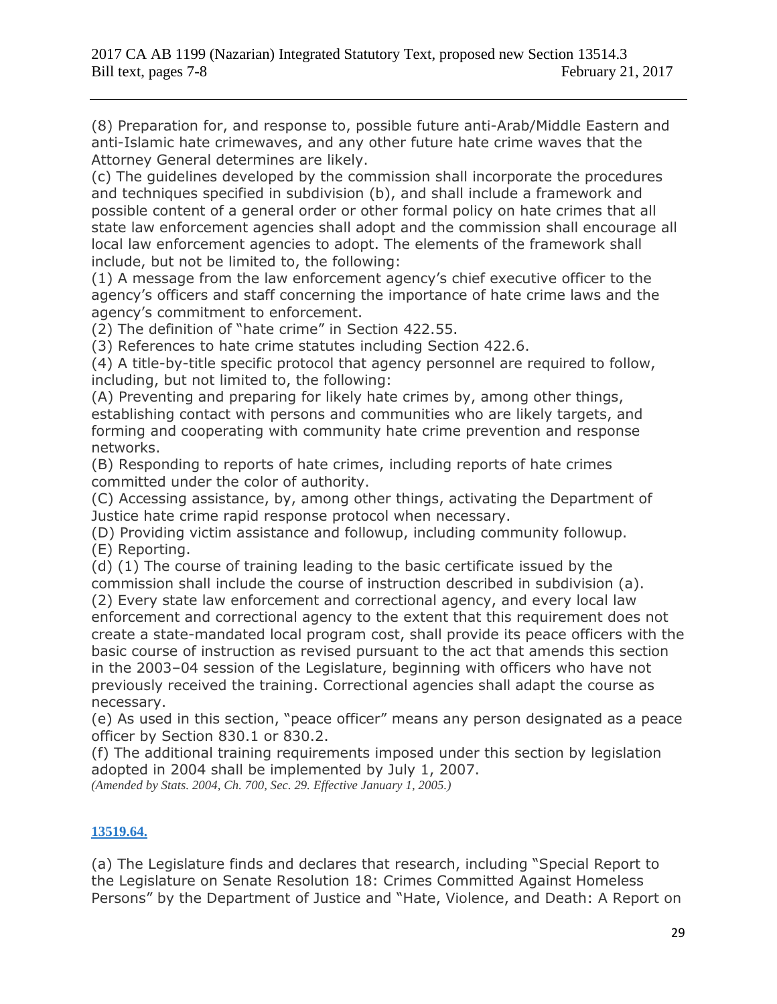(8) Preparation for, and response to, possible future anti-Arab/Middle Eastern and anti-Islamic hate crimewaves, and any other future hate crime waves that the Attorney General determines are likely.

(c) The guidelines developed by the commission shall incorporate the procedures and techniques specified in subdivision (b), and shall include a framework and possible content of a general order or other formal policy on hate crimes that all state law enforcement agencies shall adopt and the commission shall encourage all local law enforcement agencies to adopt. The elements of the framework shall include, but not be limited to, the following:

(1) A message from the law enforcement agency's chief executive officer to the agency's officers and staff concerning the importance of hate crime laws and the agency's commitment to enforcement.

(2) The definition of "hate crime" in Section 422.55.

(3) References to hate crime statutes including Section 422.6.

(4) A title-by-title specific protocol that agency personnel are required to follow, including, but not limited to, the following:

(A) Preventing and preparing for likely hate crimes by, among other things, establishing contact with persons and communities who are likely targets, and forming and cooperating with community hate crime prevention and response networks.

(B) Responding to reports of hate crimes, including reports of hate crimes committed under the color of authority.

(C) Accessing assistance, by, among other things, activating the Department of Justice hate crime rapid response protocol when necessary.

(D) Providing victim assistance and followup, including community followup. (E) Reporting.

(d) (1) The course of training leading to the basic certificate issued by the commission shall include the course of instruction described in subdivision (a).

(2) Every state law enforcement and correctional agency, and every local law enforcement and correctional agency to the extent that this requirement does not create a state-mandated local program cost, shall provide its peace officers with the basic course of instruction as revised pursuant to the act that amends this section in the 2003–04 session of the Legislature, beginning with officers who have not previously received the training. Correctional agencies shall adapt the course as necessary.

(e) As used in this section, "peace officer" means any person designated as a peace officer by Section 830.1 or 830.2.

(f) The additional training requirements imposed under this section by legislation adopted in 2004 shall be implemented by July 1, 2007.

*(Amended by Stats. 2004, Ch. 700, Sec. 29. Effective January 1, 2005.)*

## **[13519.64.](javascript:submitCodesValues()**

(a) The Legislature finds and declares that research, including "Special Report to the Legislature on Senate Resolution 18: Crimes Committed Against Homeless Persons" by the Department of Justice and "Hate, Violence, and Death: A Report on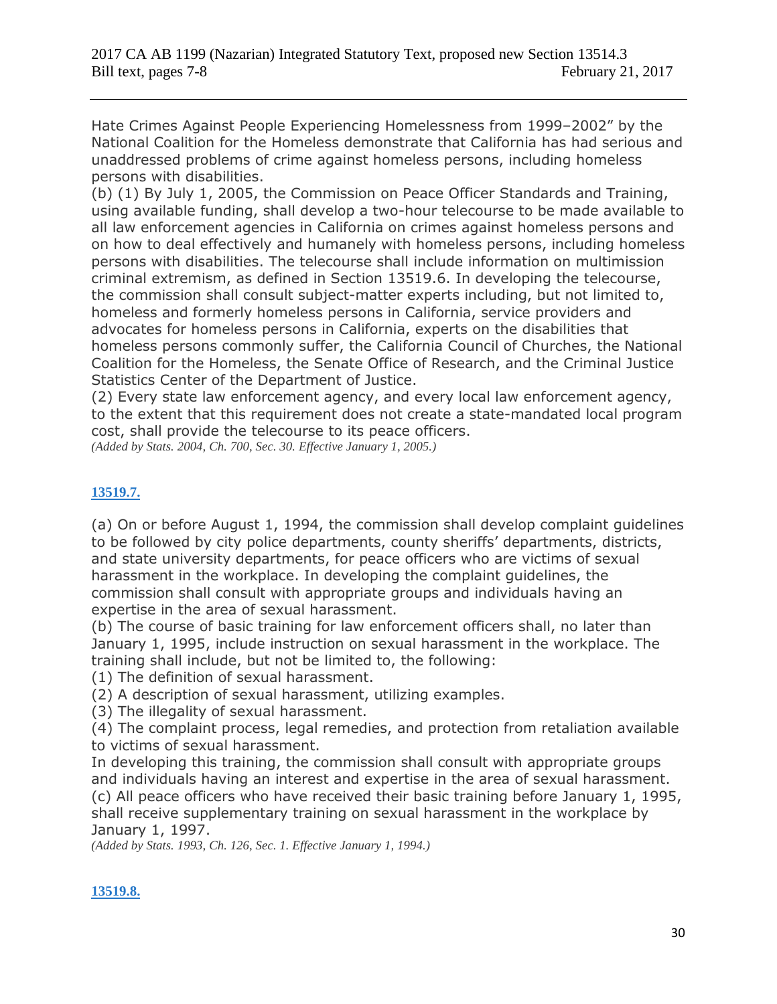Hate Crimes Against People Experiencing Homelessness from 1999–2002" by the National Coalition for the Homeless demonstrate that California has had serious and unaddressed problems of crime against homeless persons, including homeless persons with disabilities.

(b) (1) By July 1, 2005, the Commission on Peace Officer Standards and Training, using available funding, shall develop a two-hour telecourse to be made available to all law enforcement agencies in California on crimes against homeless persons and on how to deal effectively and humanely with homeless persons, including homeless persons with disabilities. The telecourse shall include information on multimission criminal extremism, as defined in Section 13519.6. In developing the telecourse, the commission shall consult subject-matter experts including, but not limited to, homeless and formerly homeless persons in California, service providers and advocates for homeless persons in California, experts on the disabilities that homeless persons commonly suffer, the California Council of Churches, the National Coalition for the Homeless, the Senate Office of Research, and the Criminal Justice Statistics Center of the Department of Justice.

(2) Every state law enforcement agency, and every local law enforcement agency, to the extent that this requirement does not create a state-mandated local program cost, shall provide the telecourse to its peace officers.

*(Added by Stats. 2004, Ch. 700, Sec. 30. Effective January 1, 2005.)*

### **[13519.7.](javascript:submitCodesValues()**

(a) On or before August 1, 1994, the commission shall develop complaint guidelines to be followed by city police departments, county sheriffs' departments, districts, and state university departments, for peace officers who are victims of sexual harassment in the workplace. In developing the complaint guidelines, the commission shall consult with appropriate groups and individuals having an expertise in the area of sexual harassment.

(b) The course of basic training for law enforcement officers shall, no later than January 1, 1995, include instruction on sexual harassment in the workplace. The training shall include, but not be limited to, the following:

(1) The definition of sexual harassment.

(2) A description of sexual harassment, utilizing examples.

(3) The illegality of sexual harassment.

(4) The complaint process, legal remedies, and protection from retaliation available to victims of sexual harassment.

In developing this training, the commission shall consult with appropriate groups and individuals having an interest and expertise in the area of sexual harassment. (c) All peace officers who have received their basic training before January 1, 1995, shall receive supplementary training on sexual harassment in the workplace by January 1, 1997.

*(Added by Stats. 1993, Ch. 126, Sec. 1. Effective January 1, 1994.)*

### **[13519.8.](javascript:submitCodesValues()**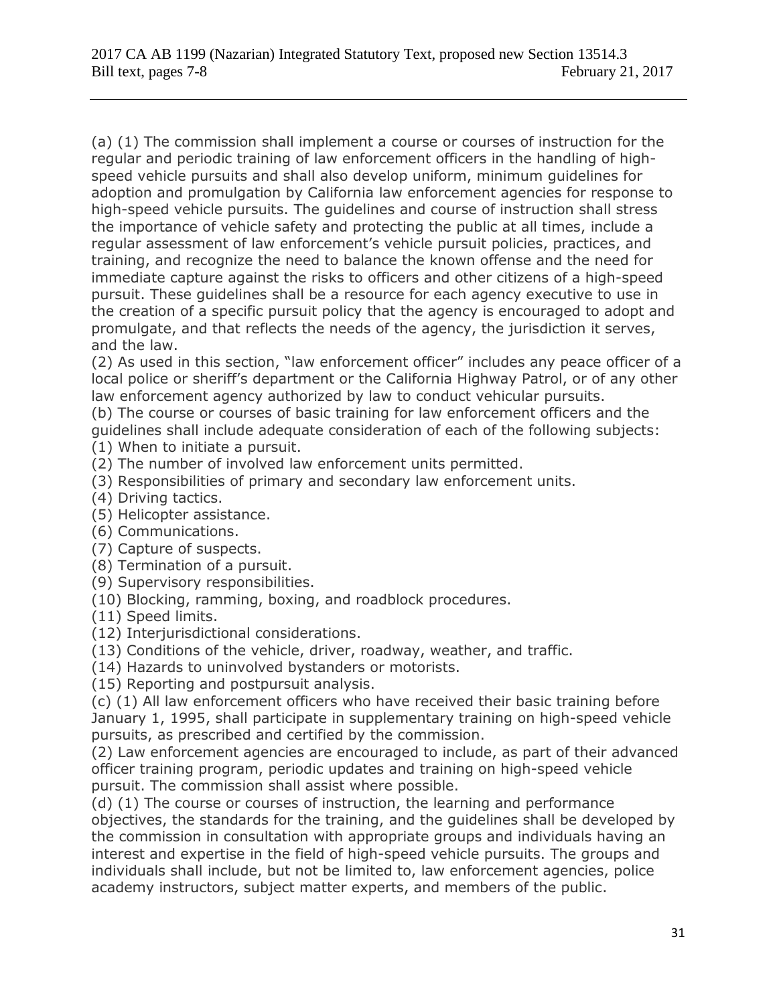(a) (1) The commission shall implement a course or courses of instruction for the regular and periodic training of law enforcement officers in the handling of highspeed vehicle pursuits and shall also develop uniform, minimum guidelines for adoption and promulgation by California law enforcement agencies for response to high-speed vehicle pursuits. The guidelines and course of instruction shall stress the importance of vehicle safety and protecting the public at all times, include a regular assessment of law enforcement's vehicle pursuit policies, practices, and training, and recognize the need to balance the known offense and the need for immediate capture against the risks to officers and other citizens of a high-speed pursuit. These guidelines shall be a resource for each agency executive to use in the creation of a specific pursuit policy that the agency is encouraged to adopt and promulgate, and that reflects the needs of the agency, the jurisdiction it serves, and the law.

(2) As used in this section, "law enforcement officer" includes any peace officer of a local police or sheriff's department or the California Highway Patrol, or of any other law enforcement agency authorized by law to conduct vehicular pursuits.

(b) The course or courses of basic training for law enforcement officers and the guidelines shall include adequate consideration of each of the following subjects:

(1) When to initiate a pursuit.

- (2) The number of involved law enforcement units permitted.
- (3) Responsibilities of primary and secondary law enforcement units.
- (4) Driving tactics.
- (5) Helicopter assistance.
- (6) Communications.
- (7) Capture of suspects.
- (8) Termination of a pursuit.
- (9) Supervisory responsibilities.
- (10) Blocking, ramming, boxing, and roadblock procedures.
- (11) Speed limits.
- (12) Interjurisdictional considerations.
- (13) Conditions of the vehicle, driver, roadway, weather, and traffic.
- (14) Hazards to uninvolved bystanders or motorists.
- (15) Reporting and postpursuit analysis.

(c) (1) All law enforcement officers who have received their basic training before January 1, 1995, shall participate in supplementary training on high-speed vehicle pursuits, as prescribed and certified by the commission.

(2) Law enforcement agencies are encouraged to include, as part of their advanced officer training program, periodic updates and training on high-speed vehicle pursuit. The commission shall assist where possible.

(d) (1) The course or courses of instruction, the learning and performance objectives, the standards for the training, and the guidelines shall be developed by the commission in consultation with appropriate groups and individuals having an interest and expertise in the field of high-speed vehicle pursuits. The groups and individuals shall include, but not be limited to, law enforcement agencies, police academy instructors, subject matter experts, and members of the public.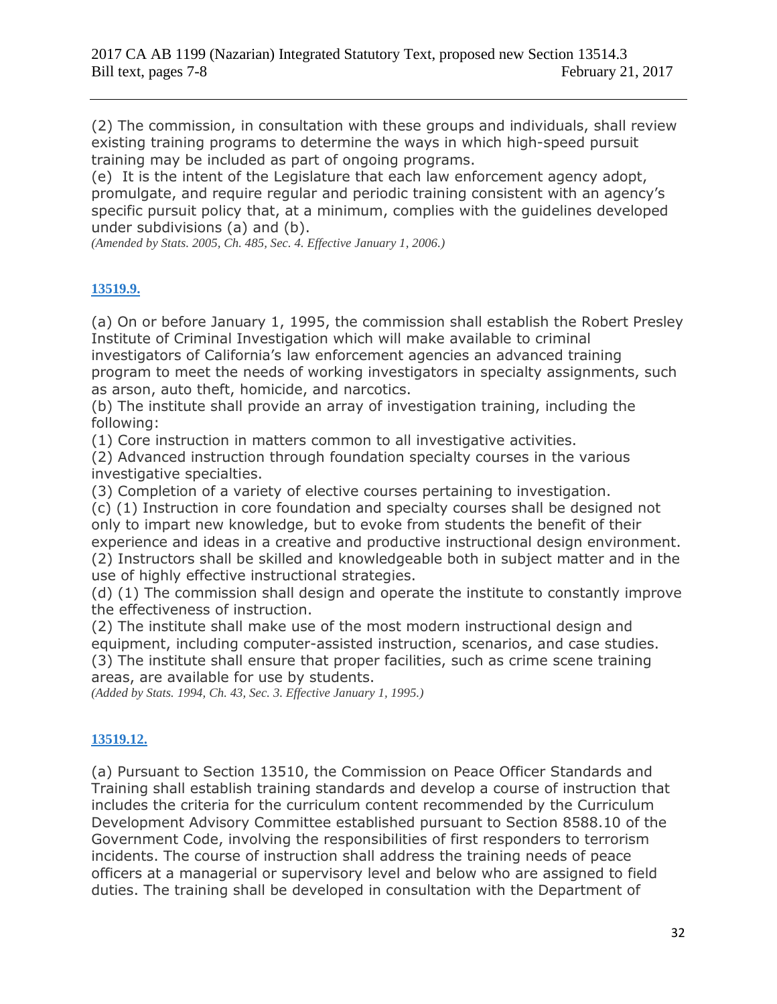(2) The commission, in consultation with these groups and individuals, shall review existing training programs to determine the ways in which high-speed pursuit training may be included as part of ongoing programs.

(e) It is the intent of the Legislature that each law enforcement agency adopt, promulgate, and require regular and periodic training consistent with an agency's specific pursuit policy that, at a minimum, complies with the guidelines developed under subdivisions (a) and (b).

*(Amended by Stats. 2005, Ch. 485, Sec. 4. Effective January 1, 2006.)*

## **[13519.9.](javascript:submitCodesValues()**

(a) On or before January 1, 1995, the commission shall establish the Robert Presley Institute of Criminal Investigation which will make available to criminal investigators of California's law enforcement agencies an advanced training program to meet the needs of working investigators in specialty assignments, such as arson, auto theft, homicide, and narcotics.

(b) The institute shall provide an array of investigation training, including the following:

(1) Core instruction in matters common to all investigative activities.

(2) Advanced instruction through foundation specialty courses in the various investigative specialties.

(3) Completion of a variety of elective courses pertaining to investigation.

(c) (1) Instruction in core foundation and specialty courses shall be designed not only to impart new knowledge, but to evoke from students the benefit of their experience and ideas in a creative and productive instructional design environment. (2) Instructors shall be skilled and knowledgeable both in subject matter and in the use of highly effective instructional strategies.

(d) (1) The commission shall design and operate the institute to constantly improve the effectiveness of instruction.

(2) The institute shall make use of the most modern instructional design and equipment, including computer-assisted instruction, scenarios, and case studies. (3) The institute shall ensure that proper facilities, such as crime scene training areas, are available for use by students.

*(Added by Stats. 1994, Ch. 43, Sec. 3. Effective January 1, 1995.)*

## **[13519.12.](javascript:submitCodesValues()**

(a) Pursuant to Section 13510, the Commission on Peace Officer Standards and Training shall establish training standards and develop a course of instruction that includes the criteria for the curriculum content recommended by the Curriculum Development Advisory Committee established pursuant to Section 8588.10 of the Government Code, involving the responsibilities of first responders to terrorism incidents. The course of instruction shall address the training needs of peace officers at a managerial or supervisory level and below who are assigned to field duties. The training shall be developed in consultation with the Department of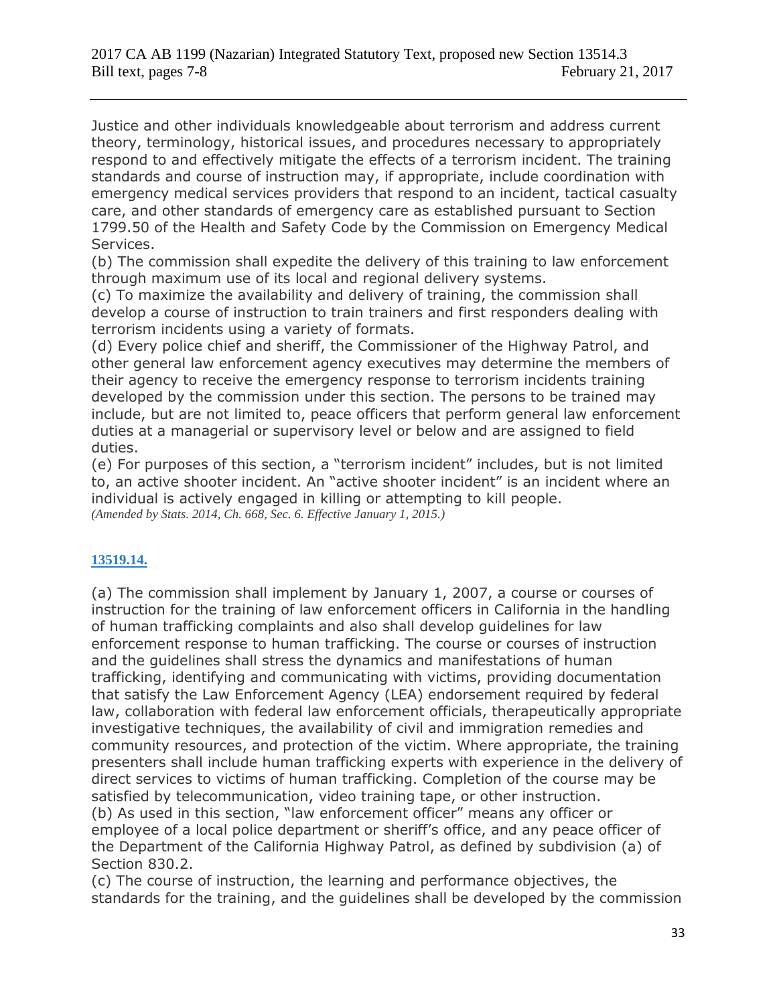Justice and other individuals knowledgeable about terrorism and address current theory, terminology, historical issues, and procedures necessary to appropriately respond to and effectively mitigate the effects of a terrorism incident. The training standards and course of instruction may, if appropriate, include coordination with emergency medical services providers that respond to an incident, tactical casualty care, and other standards of emergency care as established pursuant to Section 1799.50 of the Health and Safety Code by the Commission on Emergency Medical Services.

(b) The commission shall expedite the delivery of this training to law enforcement through maximum use of its local and regional delivery systems.

(c) To maximize the availability and delivery of training, the commission shall develop a course of instruction to train trainers and first responders dealing with terrorism incidents using a variety of formats.

(d) Every police chief and sheriff, the Commissioner of the Highway Patrol, and other general law enforcement agency executives may determine the members of their agency to receive the emergency response to terrorism incidents training developed by the commission under this section. The persons to be trained may include, but are not limited to, peace officers that perform general law enforcement duties at a managerial or supervisory level or below and are assigned to field duties.

(e) For purposes of this section, a "terrorism incident" includes, but is not limited to, an active shooter incident. An "active shooter incident" is an incident where an individual is actively engaged in killing or attempting to kill people. *(Amended by Stats. 2014, Ch. 668, Sec. 6. Effective January 1, 2015.)*

## **[13519.14.](javascript:submitCodesValues()**

(a) The commission shall implement by January 1, 2007, a course or courses of instruction for the training of law enforcement officers in California in the handling of human trafficking complaints and also shall develop guidelines for law enforcement response to human trafficking. The course or courses of instruction and the guidelines shall stress the dynamics and manifestations of human trafficking, identifying and communicating with victims, providing documentation that satisfy the Law Enforcement Agency (LEA) endorsement required by federal law, collaboration with federal law enforcement officials, therapeutically appropriate investigative techniques, the availability of civil and immigration remedies and community resources, and protection of the victim. Where appropriate, the training presenters shall include human trafficking experts with experience in the delivery of direct services to victims of human trafficking. Completion of the course may be satisfied by telecommunication, video training tape, or other instruction. (b) As used in this section, "law enforcement officer" means any officer or employee of a local police department or sheriff's office, and any peace officer of the Department of the California Highway Patrol, as defined by subdivision (a) of Section 830.2.

(c) The course of instruction, the learning and performance objectives, the standards for the training, and the guidelines shall be developed by the commission